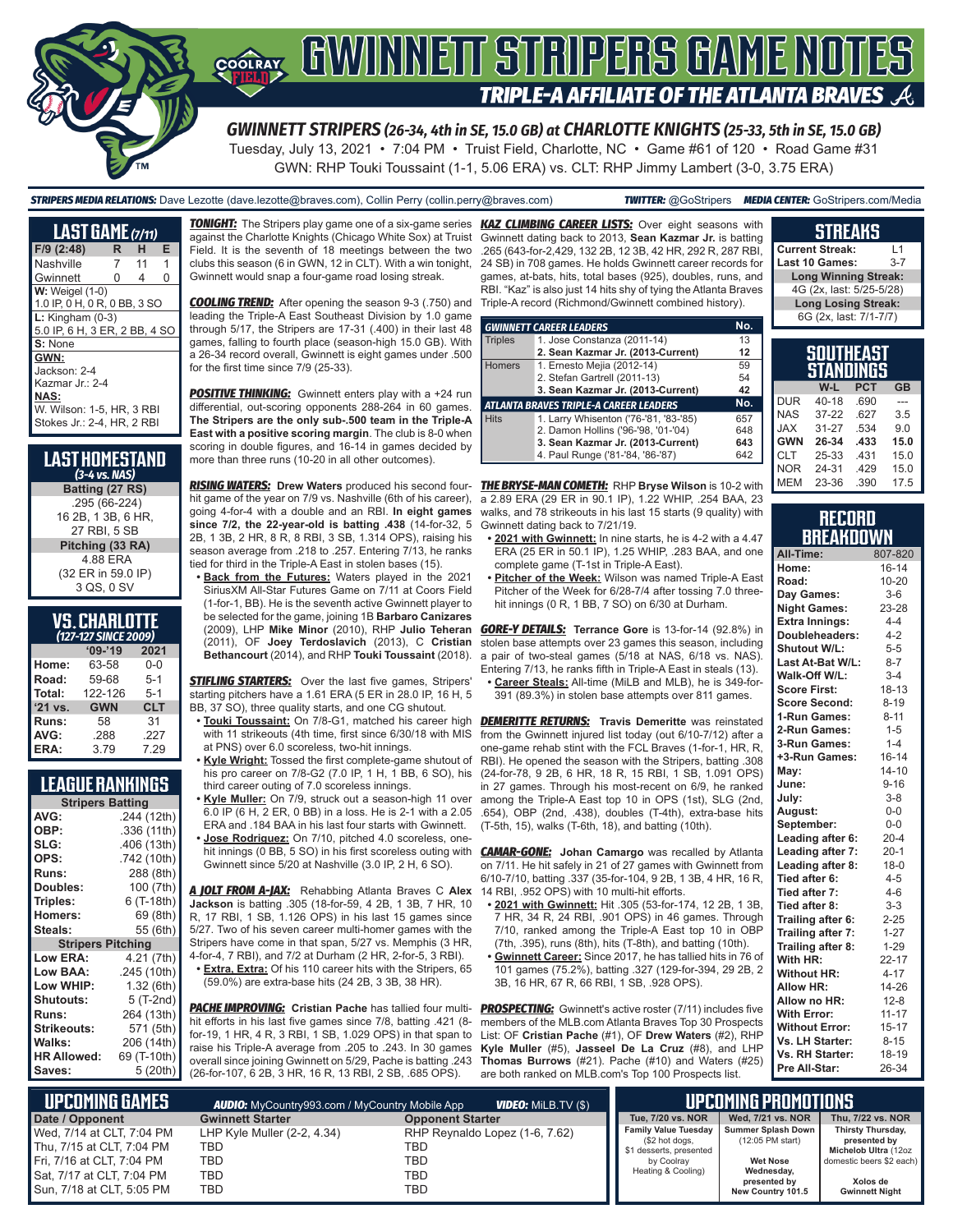

# COORAY GWINNEIT STRIPERS GAME NOTES **TRIPLE-A AFFILIATE OF THE ATLANTA BRAVES**

*GWINNETT STRIPERS (26-34, 4th in SE, 15.0 GB) at CHARLOTTE KNIGHTS (25-33, 5th in SE, 15.0 GB)* Tuesday, July 13, 2021 • 7:04 PM • Truist Field, Charlotte, NC • Game #61 of 120 • Road Game #31

GWN: RHP Touki Toussaint (1-1, 5.06 ERA) vs. CLT: RHP Jimmy Lambert (3-0, 3.75 ERA)

#### *STRIPERS MEDIA RELATIONS:* Dave Lezotte (dave.lezotte@braves.com), Collin Perry (collin.perry@braves.com) *TWITTER:* @GoStripers *MEDIA CENTER:* GoStripers.com/Media

| <u>LAS</u> T GÁME (7/11)      |                |    |   |
|-------------------------------|----------------|----|---|
| F/9 (2:48)                    | R              | н  | Е |
| Nashville                     | $\overline{7}$ | 11 | 1 |
| Gwinnett                      | 0              | 4  | O |
| <b>W:</b> Weigel (1-0)        |                |    |   |
| 1.0 IP, 0 H, 0 R, 0 BB, 3 SO  |                |    |   |
| $L:$ Kingham $(0-3)$          |                |    |   |
| 5.0 IP, 6 H, 3 ER, 2 BB, 4 SC |                |    |   |
| S: None                       |                |    |   |
| GWN:                          |                |    |   |
| Jackson: 2-4                  |                |    |   |
| Kazmar Jr.: 2-4               |                |    |   |
| NAS:                          |                |    |   |
| W. Wilson: 1-5. HR. 3 RBI     |                |    |   |
| Stokes Jr.: 2-4, HR, 2 RBI    |                |    |   |
|                               |                |    |   |

| <b>LAST HOMESTAND</b><br>$(3-4$ vs. NAS)                |
|---------------------------------------------------------|
| Batting (27 RS)                                         |
| .295 (66-224)                                           |
| 16 2B, 1 3B, 6 HR,                                      |
| 27 RBI, 5 SB                                            |
| Pitching (33 RA)                                        |
| 4.88 ERA                                                |
| $\sim$ $\sim$ $\sim$ $\sim$ $\sim$ $\sim$ $\sim$ $\sim$ |

(32 ER in 59.0 IP) 3 QS, 0 SV

| <b>VS. CHARLOTTE</b> |  |
|----------------------|--|
| (127-127 SINCE 2009) |  |

| $09 - 19$  | 2021       |
|------------|------------|
| 63-58      | $0 - 0$    |
| 59-68      | $5 - 1$    |
| 122-126    | $5 - 1$    |
| <b>GWN</b> | <b>CLT</b> |
| 58         | 31         |
| .288       | .227       |
| 3.79       | 7.29       |
|            |            |

### **LEAGUE RANKINGS**

| <b>Stripers Batting</b>  |             |  |  |  |  |  |  |  |
|--------------------------|-------------|--|--|--|--|--|--|--|
| AVG:                     | .244 (12th) |  |  |  |  |  |  |  |
| OBP:                     | .336 (11th) |  |  |  |  |  |  |  |
| SLG:                     | .406 (13th) |  |  |  |  |  |  |  |
| OPS:                     | .742 (10th) |  |  |  |  |  |  |  |
| <b>Runs:</b>             | 288 (8th)   |  |  |  |  |  |  |  |
| Doubles:                 | 100 (7th)   |  |  |  |  |  |  |  |
| Triples:                 | 6 (T-18th)  |  |  |  |  |  |  |  |
| <b>Homers:</b>           | 69 (8th)    |  |  |  |  |  |  |  |
| Steals:                  | 55 (6th)    |  |  |  |  |  |  |  |
| <b>Stripers Pitching</b> |             |  |  |  |  |  |  |  |
| <b>Low ERA:</b>          | 4.21 (7th)  |  |  |  |  |  |  |  |
| Low BAA:                 | .245 (10th) |  |  |  |  |  |  |  |
| Low WHIP:                | 1.32 (6th)  |  |  |  |  |  |  |  |
| <b>Shutouts:</b>         | 5 (T-2nd)   |  |  |  |  |  |  |  |
| <b>Runs:</b>             | 264 (13th)  |  |  |  |  |  |  |  |
| <b>Strikeouts:</b>       | 571 (5th)   |  |  |  |  |  |  |  |
| Walks:                   | 206 (14th)  |  |  |  |  |  |  |  |
| <b>HR Allowed:</b>       | 69 (T-10th) |  |  |  |  |  |  |  |
| Saves:                   | 5 (20th)    |  |  |  |  |  |  |  |

against the Charlotte Knights (Chicago White Sox) at Truist Field. It is the seventh of 18 meetings between the two clubs this season (6 in GWN, 12 in CLT). With a win tonight, Gwinnett would snap a four-game road losing streak.

*COOLING TREND:* After opening the season 9-3 (.750) and leading the Triple-A East Southeast Division by 1.0 game through 5/17, the Stripers are 17-31 (.400) in their last 48 games, falling to fourth place (season-high 15.0 GB). With a 26-34 record overall, Gwinnett is eight games under .500 for the first time since 7/9 (25-33).

**POSITIVE THINKING:** Gwinnett enters play with a +24 run differential, out-scoring opponents 288-264 in 60 games. **The Stripers are the only sub-.500 team in the Triple-A East with a positive scoring margin**. The club is 8-0 when scoring in double figures, and 16-14 in games decided by more than three runs (10-20 in all other outcomes).

*RISING WATERS:* **Drew Waters** produced his second four-*THE BRYSE-MAN COMETH:* RHP **Bryse Wilson** is 10-2 with hit game of the year on 7/9 vs. Nashville (6th of his career), going 4-for-4 with a double and an RBI. **In eight games since 7/2, the 22-year-old is batting .438** (14-for-32, 5 2B, 1 3B, 2 HR, 8 R, 8 RBI, 3 SB, 1.314 OPS), raising his season average from .218 to .257. Entering 7/13, he ranks tied for third in the Triple-A East in stolen bases (15).

**• Back from the Futures:** Waters played in the 2021 SiriusXM All-Star Futures Game on 7/11 at Coors Field (1-for-1, BB). He is the seventh active Gwinnett player to be selected for the game, joining 1B **Barbaro Canizares** (2011), OF **Joey Terdoslavich** (2013), C **Cristian Bethancourt** (2014), and RHP **Touki Toussaint** (2018).

**STIFLING STARTERS:** Over the last five games, Stripers' starting pitchers have a 1.61 ERA (5 ER in 28.0 IP, 16 H, 5 BB, 37 SO), three quality starts, and one CG shutout.

- **• Touki Toussaint:** On 7/8-G1, matched his career high at PNS) over 6.0 scoreless, two-hit innings.
- **• Kyle Wright:** Tossed the first complete-game shutout of his pro career on 7/8-G2 (7.0 IP, 1 H, 1 BB, 6 SO), his third career outing of 7.0 scoreless innings.
- **• Kyle Muller:** On 7/9, struck out a season-high 11 over 6.0 IP (6 H, 2 ER, 0 BB) in a loss. He is 2-1 with a 2.05
- ERA and .184 BAA in his last four starts with Gwinnett. **• Jose Rodriguez:** On 7/10, pitched 4.0 scoreless, one-
- Gwinnett since 5/20 at Nashville (3.0 IP, 2 H, 6 SO).

*A JOLT FROM A-JAX:* Rehabbing Atlanta Braves C **Alex**  14 RBI, .952 OPS) with 10 multi-hit efforts. **Jackson** is batting .305 (18-for-59, 4 2B, 1 3B, 7 HR, 10 R, 17 RBI, 1 SB, 1.126 OPS) in his last 15 games since 5/27. Two of his seven career multi-homer games with the Stripers have come in that span, 5/27 vs. Memphis (3 HR, 4-for-4, 7 RBI), and 7/2 at Durham (2 HR, 2-for-5, 3 RBI).

**• Extra, Extra:** Of his 110 career hits with the Stripers, 65 (59.0%) are extra-base hits (24 2B, 3 3B, 38 HR).

*PACHE IMPROVING:* **Cristian Pache** has tallied four multihit efforts in his last five games since 7/8, batting .421 (8 for-19, 1 HR, 4 R, 3 RBI, 1 SB, 1.029 OPS) in that span to raise his Triple-A average from .205 to .243. In 30 games overall since joining Gwinnett on 5/29, Pache is batting .243 (26-for-107, 6 2B, 3 HR, 16 R, 13 RBI, 2 SB, .685 OPS).

*TONIGHT:* The Stripers play game one of a six-game series *KAZ CLIMBING CAREER LISTS:* Over eight seasons with Gwinnett dating back to 2013, **Sean Kazmar Jr.** is batting .265 (643-for-2,429, 132 2B, 12 3B, 42 HR, 292 R, 287 RBI, 24 SB) in 708 games. He holds Gwinnett career records for games, at-bats, hits, total bases (925), doubles, runs, and RBI. "Kaz" is also just 14 hits shy of tying the Atlanta Braves Triple-A record (Richmond/Gwinnett combined history).

|                | <b>GWINNETT CAREER LEADERS</b>                | No. |
|----------------|-----------------------------------------------|-----|
| <b>Triples</b> | 1. Jose Constanza (2011-14)                   | 13  |
|                | 2. Sean Kazmar Jr. (2013-Current)             | 12  |
| <b>Homers</b>  | 1. Ernesto Mejia (2012-14)                    | 59  |
|                | 2. Stefan Gartrell (2011-13)                  | 54  |
|                | 3. Sean Kazmar Jr. (2013-Current)             | 42  |
|                | <b>ATLANTA BRAVES TRIPLE-A CAREER LEADERS</b> | No. |
| <b>Hits</b>    | 1. Larry Whisenton ('76-'81, '83-'85)         | 657 |
|                | 2. Damon Hollins ('96-'98, '01-'04)           | 648 |
|                | 3. Sean Kazmar Jr. (2013-Current)             | 643 |
|                | 4. Paul Runge ('81-'84, '86-'87)              | 642 |

a 2.89 ERA (29 ER in 90.1 IP), 1.22 WHIP, .254 BAA, 23 walks, and 78 strikeouts in his last 15 starts (9 quality) with Gwinnett dating back to 7/21/19.

- **• 2021 with Gwinnett:** In nine starts, he is 4-2 with a 4.47 ERA (25 ER in 50.1 IP), 1.25 WHIP, .283 BAA, and one complete game (T-1st in Triple-A East).
- **• Pitcher of the Week:** Wilson was named Triple-A East Pitcher of the Week for 6/28-7/4 after tossing 7.0 threehit innings (0 R, 1 BB, 7 SO) on 6/30 at Durham.

(2009), LHP **Mike Minor** (2010), RHP **Julio Teheran** *GORE-Y DETAILS:* **Terrance Gore** is 13-for-14 (92.8%) in stolen base attempts over 23 games this season, including a pair of two-steal games (5/18 at NAS, 6/18 vs. NAS). Entering 7/13, he ranks fifth in Triple-A East in steals (13).

**• Career Steals:** All-time (MiLB and MLB), he is 349-for-391 (89.3%) in stolen base attempts over 811 games.

with 11 strikeouts (4th time, first since 6/30/18 with MIS from the Gwinnett injured list today (out 6/10-7/12) after a *DEMERITTE RETURNS:* **Travis Demeritte** was reinstated one-game rehab stint with the FCL Braves (1-for-1, HR, R, RBI). He opened the season with the Stripers, batting .308 (24-for-78, 9 2B, 6 HR, 18 R, 15 RBI, 1 SB, 1.091 OPS) in 27 games. Through his most-recent on 6/9, he ranked among the Triple-A East top 10 in OPS (1st), SLG (2nd, .654), OBP (2nd, .438), doubles (T-4th), extra-base hits (T-5th, 15), walks (T-6th, 18), and batting (10th).

hit innings (0 BB, 5 SO) in his first scoreless outing with *CAMAR-GONE:* **Johan Camargo** was recalled by Atlanta on 7/11. He hit safely in 21 of 27 games with Gwinnett from 6/10-7/10, batting .337 (35-for-104, 9 2B, 1 3B, 4 HR, 16 R,

- **• 2021 with Gwinnett:** Hit .305 (53-for-174, 12 2B, 1 3B, 7 HR, 34 R, 24 RBI, .901 OPS) in 46 games. Through 7/10, ranked among the Triple-A East top 10 in OBP (7th, .395), runs (8th), hits (T-8th), and batting (10th).
- **• Gwinnett Career:** Since 2017, he has tallied hits in 76 of 101 games (75.2%), batting .327 (129-for-394, 29 2B, 2 3B, 16 HR, 67 R, 66 RBI, 1 SB, .928 OPS).

**PROSPECTING:** Gwinnett's active roster (7/11) includes five members of the MLB.com Atlanta Braves Top 30 Prospects List: OF **Cristian Pache** (#1), OF **Drew Waters** (#2), RHP **Kyle Muller** (#5), **Jasseel De La Cruz** (#8), and LHP **Thomas Burrows** (#21). Pache (#10) and Waters (#25) are both ranked on MLB.com's Top 100 Prospects list.

|  | STREAKS |
|--|---------|
|  |         |

**Current Streak:** L1<br>Last 10 Games: 3-7 Last 10 Games: **Long Winning Streak:** 4G (2x, last: 5/25-5/28) **Long Losing Streak:** 6G (2x, last: 7/1-7/7)

|     | <b>SOUTHEAST</b><br><b>STANDINGS</b> |            |           |
|-----|--------------------------------------|------------|-----------|
|     | W-L                                  | <b>PCT</b> | <b>GB</b> |
| DUR | 40-18                                | .690       |           |
| NAS | 37-22                                | .627       | 3.5       |
| JAX | 31-27                                | .534       | 9.0       |

| <b>DUR</b> | 40-18     | .690 |      |
|------------|-----------|------|------|
| <b>NAS</b> | $37 - 22$ | .627 | 3.5  |
| <b>JAX</b> | $31 - 27$ | .534 | 9.0  |
| <b>GWN</b> | 26-34     | .433 | 15.0 |
| CLT        | 25-33     | .431 | 15.0 |
| <b>NOR</b> | 24-31     | .429 | 15.0 |
| <b>MEM</b> | 23-36     | .390 | 17.5 |

#### **RECORD RRFAKDOWN**

| All-Time:             | 807-820   |
|-----------------------|-----------|
| Home:                 | $16 - 14$ |
| Road:                 | $10 - 20$ |
| Day Games:            | $3-6$     |
| <b>Night Games:</b>   | 23-28     |
| <b>Extra Innings:</b> | $4 - 4$   |
| Doubleheaders:        | $4 - 2$   |
| <b>Shutout W/L:</b>   | $5 - 5$   |
| Last At-Bat W/L:      | $8 - 7$   |
| Walk-Off W/L:         | $3 - 4$   |
| <b>Score First:</b>   | $18 - 13$ |
| <b>Score Second:</b>  | $8 - 19$  |
| 1-Run Games:          | $8 - 11$  |
| 2-Run Games:          | $1 - 5$   |
| 3-Run Games:          | $1 - 4$   |
| +3-Run Games:         | $16 - 14$ |
| Mav:                  | $14 - 10$ |
| June:                 | $9 - 16$  |
| July:                 | $3 - 8$   |
| August:               | $0-0$     |
| September:            | $0-0$     |
| Leading after 6:      | $20 - 4$  |
| Leading after 7:      | $20 - 1$  |
| Leading after 8:      | $18 - 0$  |
| Tied after 6:         | $4 - 5$   |
| Tied after 7:         | $4 - 6$   |
| Tied after 8:         | $3 - 3$   |
| Trailing after 6:     | $2 - 25$  |
| Trailing after 7:     | $1 - 27$  |
| Trailing after 8:     | $1 - 29$  |
| With HR:              | $22 - 17$ |
| <b>Without HR:</b>    | $4 - 17$  |
| Allow HR:             | 14-26     |
| Allow no HR:          | $12 - 8$  |
| <b>With Error:</b>    | $11 - 17$ |
| <b>Without Error:</b> | $15 - 17$ |
| Vs. LH Starter:       | $8 - 15$  |
| Vs. RH Starter:       | 18-19     |
| Pre All-Star:         | 26-34     |

| L UPCOMING GAMES <b>'</b>                              | <b>AUDIO:</b> MyCountry993.com / MyCountry Mobile App | <b>VIDEO:</b> MiLB.TV (\$)            |                                  | <b>TUPCOMING PROMOTIONS</b>                                                                            |
|--------------------------------------------------------|-------------------------------------------------------|---------------------------------------|----------------------------------|--------------------------------------------------------------------------------------------------------|
| Date / Opponent                                        | <b>Gwinnett Starter</b>                               | <b>Opponent Starter</b>               | Tue, 7/20 vs. NOR                | Wed. 7/21 vs. NOR                                                                                      |
| Wed, 7/14 at CLT, 7:04 PM<br>Thu, 7/15 at CLT, 7:04 PM | LHP Kyle Muller (2-2, 4.34)<br>TBD                    | RHP Reynaldo Lopez (1-6, 7.62)<br>TBD | (\$2 hot dogs,                   | I Summer Splash Down I<br><b>Family Value Tuesday</b><br>$(12:05$ PM start)<br>\$1 desserts, presented |
| Fri, 7/16 at CLT, 7:04 PM<br>Sat, 7/17 at CLT, 7:04 PM | TBD<br>TBD                                            | TBD<br>TBD                            | by Coolray<br>Heating & Cooling) | <b>Wet Nose</b><br>Wednesday,<br>presented by                                                          |
| Sun. 7/18 at CLT. 5:05 PM                              | TBD                                                   | TBD                                   |                                  | New Country 101.5                                                                                      |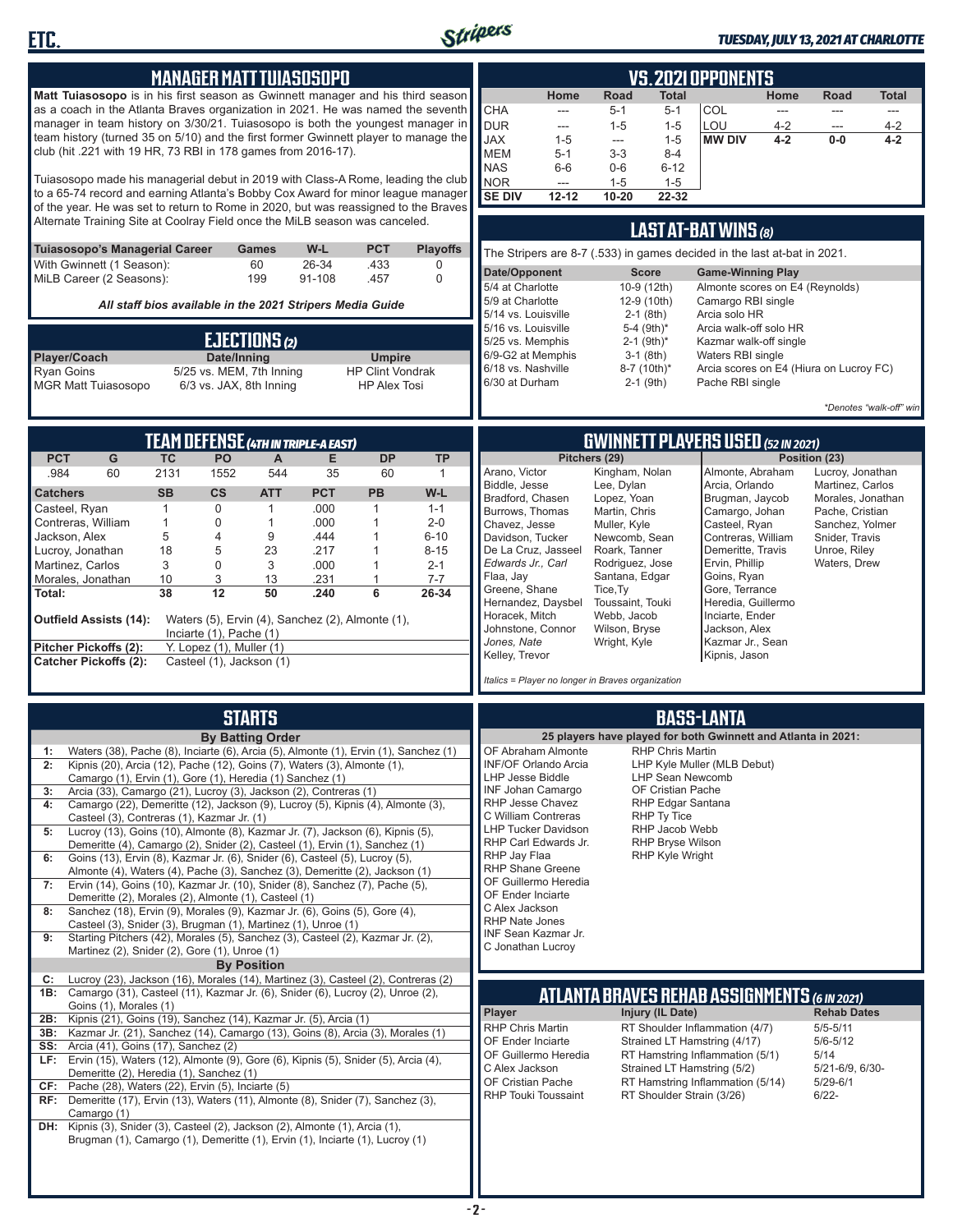

#### *TUESDAY, JULY 13, 2021 AT CHARLOTTE*

|                                                                                                                                                                                                                                                             | <b>MANAGER MATTTUIASOSOPO</b>                                 |                            |                    |                                          |                      | <b>VS.2021 OPPONENTS</b>                                                 |                                                               |                                              |                                                                |                        |                                      |                                |
|-------------------------------------------------------------------------------------------------------------------------------------------------------------------------------------------------------------------------------------------------------------|---------------------------------------------------------------|----------------------------|--------------------|------------------------------------------|----------------------|--------------------------------------------------------------------------|---------------------------------------------------------------|----------------------------------------------|----------------------------------------------------------------|------------------------|--------------------------------------|--------------------------------|
| Matt Tuiasosopo is in his first season as Gwinnett manager and his third season<br>as a coach in the Atlanta Braves organization in 2021. He was named the seventh<br>manager in team history on 3/30/21. Tuiasosopo is both the youngest manager in        |                                                               |                            |                    |                                          |                      | Home<br>CHA<br>---<br><b>DUR</b><br>$\overline{a}$                       | Road<br>$5 - 1$<br>$1 - 5$                                    | Total<br>$5 - 1$<br>$1 - 5$                  | COL<br>LOU                                                     | Home<br>---<br>$4 - 2$ | <b>Road</b><br>$\cdots$              | <b>Total</b><br>---<br>$4 - 2$ |
| team history (turned 35 on 5/10) and the first former Gwinnett player to manage the<br>club (hit .221 with 19 HR, 73 RBI in 178 games from 2016-17).                                                                                                        |                                                               |                            |                    |                                          |                      | <b>JAX</b><br>$1 - 5$<br><b>MEM</b><br>$5 - 1$<br><b>NAS</b><br>$6-6$    | $---$<br>$3 - 3$<br>$0-6$                                     | $1 - 5$<br>$8 - 4$<br>$6 - 12$               | <b>MW DIV</b>                                                  | $4 - 2$                | $0-0$                                | $4 - 2$                        |
| Tuiasosopo made his managerial debut in 2019 with Class-A Rome, leading the club<br>to a 65-74 record and earning Atlanta's Bobby Cox Award for minor league manager<br>of the year. He was set to return to Rome in 2020, but was reassigned to the Braves |                                                               |                            |                    |                                          |                      | <b>NOR</b><br>---<br><b>SE DIV</b><br>$12 - 12$                          | $1 - 5$<br>$10 - 20$                                          | $1 - 5$<br>22-32                             |                                                                |                        |                                      |                                |
| Alternate Training Site at Coolray Field once the MiLB season was canceled.                                                                                                                                                                                 |                                                               |                            |                    |                                          |                      |                                                                          |                                                               |                                              | LAST AT-BAT WINS (8)                                           |                        |                                      |                                |
| Tuiasosopo's Managerial Career<br>With Gwinnett (1 Season):                                                                                                                                                                                                 |                                                               | Games<br>60                | W-L<br>26-34       | <b>PCT</b><br>.433                       | <b>Playoffs</b><br>0 | The Stripers are 8-7 (.533) in games decided in the last at-bat in 2021. |                                                               |                                              |                                                                |                        |                                      |                                |
| MiLB Career (2 Seasons):                                                                                                                                                                                                                                    |                                                               | 199                        | 91-108             | .457                                     | 0                    | Date/Opponent<br>5/4 at Charlotte                                        |                                                               | <b>Score</b><br>10-9 (12th)                  | <b>Game-Winning Play</b><br>Almonte scores on E4 (Reynolds)    |                        |                                      |                                |
|                                                                                                                                                                                                                                                             | All staff bios available in the 2021 Stripers Media Guide     |                            |                    |                                          |                      | 5/9 at Charlotte<br>5/14 vs. Louisville                                  |                                                               | 12-9 (10th)<br>$2-1$ (8th)                   | Camargo RBI single<br>Arcia solo HR                            |                        |                                      |                                |
|                                                                                                                                                                                                                                                             |                                                               | EJECTIONS (2)              |                    |                                          |                      | 5/16 vs. Louisville<br>5/25 vs. Memphis                                  |                                                               | 5-4 (9th)*<br>$2-1$ (9th) <sup>*</sup>       | Arcia walk-off solo HR<br>Kazmar walk-off single               |                        |                                      |                                |
| Player/Coach<br><b>Ryan Goins</b>                                                                                                                                                                                                                           | Date/Inning<br>5/25 vs. MEM, 7th Inning                       |                            |                    | <b>Umpire</b><br><b>HP Clint Vondrak</b> |                      | 6/9-G2 at Memphis<br>6/18 vs. Nashville                                  |                                                               | $3-1$ (8th)<br>8-7 (10th)*                   | Waters RBI single<br>Arcia scores on E4 (Hiura on Lucroy FC)   |                        |                                      |                                |
| <b>MGR Matt Tuiasosopo</b>                                                                                                                                                                                                                                  | 6/3 vs. JAX, 8th Inning                                       |                            |                    | <b>HP Alex Tosi</b>                      |                      | 6/30 at Durham                                                           |                                                               | $2-1$ (9th)                                  | Pache RBI single                                               |                        |                                      |                                |
|                                                                                                                                                                                                                                                             |                                                               |                            |                    |                                          |                      |                                                                          |                                                               |                                              |                                                                |                        |                                      | *Denotes "walk-off" win        |
| <b>PCT</b><br>G                                                                                                                                                                                                                                             | <b>TEAM DEFENSE (4TH IN TRIPLE-A EAST)</b><br><b>TC</b><br>PO | A                          | Е                  | <b>DP</b>                                | <b>TP</b>            |                                                                          | Pitchers (29)                                                 |                                              | <b>GWINNETT PLAYERS USED (52 IN 2021)</b>                      |                        | Position (23)                        |                                |
| .984<br>60                                                                                                                                                                                                                                                  | 2131<br>1552                                                  | 544                        | 35                 | 60                                       | $\mathbf{1}$         | Arano, Victor<br>Biddle, Jesse                                           | Kingham, Nolan<br>Lee, Dylan                                  |                                              | Almonte, Abraham<br>Arcia, Orlando                             |                        | Lucroy, Jonathan<br>Martinez, Carlos |                                |
| <b>Catchers</b><br>Casteel, Ryan                                                                                                                                                                                                                            | <b>SB</b><br>$\mathsf{cs}$<br>$\mathbf 0$<br>1                | <b>ATT</b><br>$\mathbf{1}$ | <b>PCT</b><br>.000 | PB<br>$\mathbf{1}$                       | W-L<br>$1 - 1$       | Bradford, Chasen<br>Burrows, Thomas                                      | Lopez, Yoan<br>Martin, Chris                                  |                                              | Brugman, Jaycob<br>Camargo, Johan                              |                        | Morales, Jonathan<br>Pache, Cristian |                                |
| Contreras, William                                                                                                                                                                                                                                          | 1<br>0                                                        | 1                          | .000               | $\mathbf{1}$                             | $2 - 0$              | Chavez, Jesse                                                            | Muller, Kyle                                                  |                                              | Casteel, Ryan                                                  |                        | Sanchez, Yolmer                      |                                |
| Jackson, Alex<br>Lucroy, Jonathan                                                                                                                                                                                                                           | 5<br>4<br>18<br>5                                             | 9<br>23                    | .444<br>.217       | $\overline{1}$<br>$\overline{1}$         | $6 - 10$<br>$8 - 15$ | Davidson, Tucker<br>De La Cruz, Jasseel                                  | Newcomb, Sean<br>Roark, Tanner                                |                                              | Contreras, William<br>Demeritte, Travis                        |                        | Snider, Travis<br>Unroe, Riley       |                                |
| Martinez, Carlos                                                                                                                                                                                                                                            | 3<br>0<br>3<br>10                                             | 3<br>13                    | .000<br>.231       | $\mathbf{1}$<br>$\mathbf{1}$             | $2 - 1$<br>$7 - 7$   | Edwards Jr., Carl<br>Flaa, Jay                                           | Rodriguez, Jose<br>Santana, Edgar                             |                                              | Ervin, Phillip<br>Goins, Ryan                                  |                        | Waters, Drew                         |                                |
| Morales, Jonathan<br>Total:                                                                                                                                                                                                                                 | 12<br>38                                                      | 50                         | .240               | 6                                        | 26-34                | Greene, Shane                                                            | Tice, Ty                                                      |                                              | Gore, Terrance                                                 |                        |                                      |                                |
| Outfield Assists (14):                                                                                                                                                                                                                                      | Waters (5), Ervin (4), Sanchez (2), Almonte (1),              |                            |                    |                                          |                      | Hernandez, Daysbel<br>Horacek, Mitch<br>Johnstone, Connor                | Toussaint, Touki<br>Webb, Jacob<br>Wilson, Bryse              |                                              | Heredia, Guillermo<br>Inciarte, Ender<br>Jackson, Alex         |                        |                                      |                                |
| Pitcher Pickoffs (2):                                                                                                                                                                                                                                       | Inciarte $(1)$ , Pache $(1)$<br>Y. Lopez (1), Muller (1)      |                            |                    |                                          |                      | Jones, Nate<br>Kelley, Trevor                                            | Wright, Kyle                                                  |                                              | Kazmar Jr., Sean<br>Kipnis, Jason                              |                        |                                      |                                |
| <b>Catcher Pickoffs (2):</b>                                                                                                                                                                                                                                | Casteel (1), Jackson (1)                                      |                            |                    |                                          |                      | Italics = Player no longer in Braves organization                        |                                                               |                                              |                                                                |                        |                                      |                                |
|                                                                                                                                                                                                                                                             |                                                               | <b>STARTS</b>              |                    |                                          |                      |                                                                          |                                                               |                                              | <b>BASS-LANTA</b>                                              |                        |                                      |                                |
|                                                                                                                                                                                                                                                             |                                                               | <b>By Batting Order</b>    |                    |                                          |                      |                                                                          | 25 players have played for both Gwinnett and Atlanta in 2021: |                                              |                                                                |                        |                                      |                                |
| Waters (38), Pache (8), Inciarte (6), Arcia (5), Almonte (1), Ervin (1), Sanchez (1)<br>1:<br>Kipnis (20), Arcia (12), Pache (12), Goins (7), Waters (3), Almonte (1),                                                                                      |                                                               |                            |                    |                                          |                      | OF Abraham Almonte<br><b>INF/OF Orlando Arcia</b>                        |                                                               | <b>RHP Chris Martin</b>                      | LHP Kyle Muller (MLB Debut)                                    |                        |                                      |                                |
| Camargo (1), Ervin (1), Gore (1), Heredia (1) Sanchez (1)<br>Arcia (33), Camargo (21), Lucroy (3), Jackson (2), Contreras (1)<br>3:                                                                                                                         |                                                               |                            |                    |                                          |                      | LHP Jesse Biddle<br><b>INF Johan Camargo</b>                             |                                                               | <b>LHP Sean Newcomb</b><br>OF Cristian Pache |                                                                |                        |                                      |                                |
| Camargo (22), Demeritte (12), Jackson (9), Lucroy (5), Kipnis (4), Almonte (3),<br>4:                                                                                                                                                                       |                                                               |                            |                    |                                          |                      | RHP Jesse Chavez                                                         |                                                               | RHP Edgar Santana                            |                                                                |                        |                                      |                                |
| Casteel (3), Contreras (1), Kazmar Jr. (1)<br>Lucroy (13), Goins (10), Almonte (8), Kazmar Jr. (7), Jackson (6), Kipnis (5),<br>5:                                                                                                                          |                                                               |                            |                    |                                          |                      | C William Contreras<br><b>LHP Tucker Davidson</b>                        |                                                               | RHP Ty Tice<br>RHP Jacob Webb                |                                                                |                        |                                      |                                |
| Demeritte (4), Camargo (2), Snider (2), Casteel (1), Ervin (1), Sanchez (1)                                                                                                                                                                                 |                                                               |                            |                    |                                          |                      | RHP Carl Edwards Jr.<br>RHP Jay Flaa                                     |                                                               | RHP Bryse Wilson<br>RHP Kyle Wright          |                                                                |                        |                                      |                                |
| Goins (13), Ervin (8), Kazmar Jr. (6), Snider (6), Casteel (5), Lucroy (5),<br>6:<br>Almonte (4), Waters (4), Pache (3), Sanchez (3), Demeritte (2), Jackson (1)                                                                                            |                                                               |                            |                    |                                          |                      | <b>RHP Shane Greene</b>                                                  |                                                               |                                              |                                                                |                        |                                      |                                |
| Ervin (14), Goins (10), Kazmar Jr. (10), Snider (8), Sanchez (7), Pache (5),<br>7:<br>Demeritte (2), Morales (2), Almonte (1), Casteel (1)                                                                                                                  |                                                               |                            |                    |                                          |                      | OF Guillermo Heredia<br>OF Ender Inciarte                                |                                                               |                                              |                                                                |                        |                                      |                                |
| Sanchez (18), Ervin (9), Morales (9), Kazmar Jr. (6), Goins (5), Gore (4),<br>8:                                                                                                                                                                            |                                                               |                            |                    |                                          |                      | C Alex Jackson<br><b>RHP Nate Jones</b>                                  |                                                               |                                              |                                                                |                        |                                      |                                |
| Casteel (3), Snider (3), Brugman (1), Martinez (1), Unroe (1)<br>Starting Pitchers (42), Morales (5), Sanchez (3), Casteel (2), Kazmar Jr. (2),<br>9:                                                                                                       |                                                               |                            |                    |                                          |                      | INF Sean Kazmar Jr.                                                      |                                                               |                                              |                                                                |                        |                                      |                                |
| Martinez (2), Snider (2), Gore (1), Unroe (1)                                                                                                                                                                                                               |                                                               | <b>By Position</b>         |                    |                                          |                      | C Jonathan Lucroy                                                        |                                                               |                                              |                                                                |                        |                                      |                                |
| Lucroy (23), Jackson (16), Morales (14), Martinez (3), Casteel (2), Contreras (2)<br>C:                                                                                                                                                                     |                                                               |                            |                    |                                          |                      |                                                                          |                                                               |                                              |                                                                |                        |                                      |                                |
| Camargo (31), Casteel (11), Kazmar Jr. (6), Snider (6), Lucroy (2), Unroe (2),<br>1B:<br>Goins (1), Morales (1)                                                                                                                                             |                                                               |                            |                    |                                          |                      |                                                                          | <b>ATLANTA BRAVES REHAB ASSIGNMENTS (6 IN 2021)</b>           |                                              |                                                                |                        |                                      |                                |
| Kipnis (21), Goins (19), Sanchez (14), Kazmar Jr. (5), Arcia (1)<br>2B:<br>3B:<br>Kazmar Jr. (21), Sanchez (14), Camargo (13), Goins (8), Arcia (3), Morales (1)                                                                                            |                                                               |                            |                    |                                          |                      | Player<br>RHP Chris Martin                                               |                                                               | Injury (IL Date)                             | RT Shoulder Inflammation (4/7)                                 |                        | <b>Rehab Dates</b><br>$5/5 - 5/11$   |                                |
| <b>SS:</b> Arcia (41), Goins (17), Sanchez (2)                                                                                                                                                                                                              |                                                               |                            |                    |                                          |                      | OF Ender Inciarte                                                        |                                                               |                                              | Strained LT Hamstring (4/17)                                   |                        | $5/6 - 5/12$                         |                                |
| LF: Ervin (15), Waters (12), Almonte (9), Gore (6), Kipnis (5), Snider (5), Arcia (4),<br>Demeritte (2), Heredia (1), Sanchez (1)                                                                                                                           |                                                               |                            |                    |                                          |                      | OF Guillermo Heredia<br>C Alex Jackson                                   |                                                               |                                              | RT Hamstring Inflammation (5/1)<br>Strained LT Hamstring (5/2) |                        | 5/14<br>5/21-6/9, 6/30-              |                                |
| $CF:$ Pache (28), Waters (22), Ervin (5), Inciarte (5)                                                                                                                                                                                                      |                                                               |                            |                    |                                          |                      | OF Cristian Pache<br><b>RHP Touki Toussaint</b>                          |                                                               | RT Shoulder Strain (3/26)                    | RT Hamstring Inflammation (5/14)                               |                        | $5/29 - 6/1$<br>$6/22 -$             |                                |
| RF: Demeritte (17), Ervin (13), Waters (11), Almonte (8), Snider (7), Sanchez (3),<br>Camargo (1)                                                                                                                                                           |                                                               |                            |                    |                                          |                      |                                                                          |                                                               |                                              |                                                                |                        |                                      |                                |
| DH: Kipnis (3), Snider (3), Casteel (2), Jackson (2), Almonte (1), Arcia (1),<br>Brugman (1), Camargo (1), Demeritte (1), Ervin (1), Inciarte (1), Lucroy (1)                                                                                               |                                                               |                            |                    |                                          |                      |                                                                          |                                                               |                                              |                                                                |                        |                                      |                                |

Ш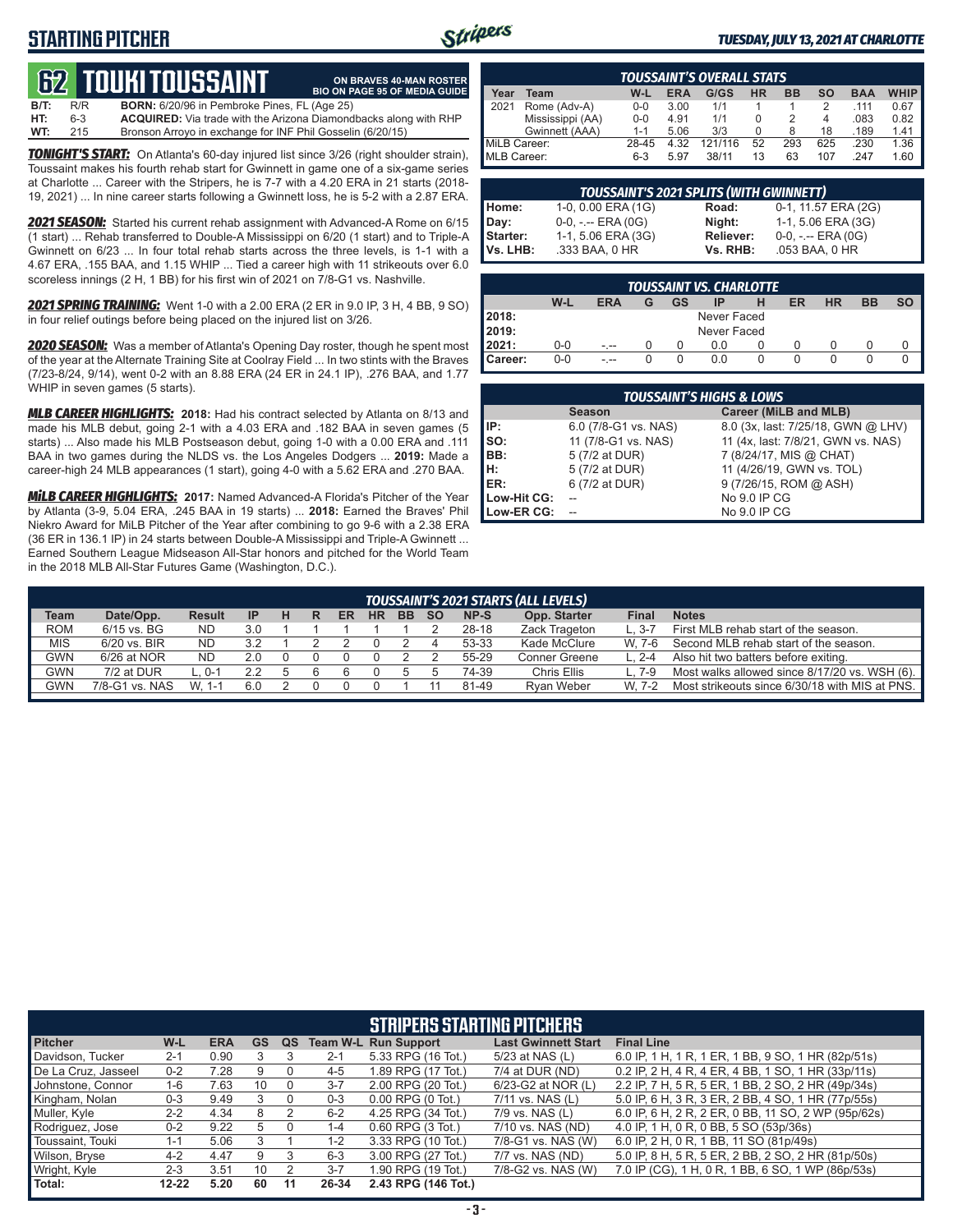### **STARTING PITCHER**



**ON BRAVES 40-MAN ROSTER**

#### *TUESDAY, JULY 13, 2021 AT CHARLOTTE*

# **62****touki toussaint**

**B/T:** R/R **BORN:** 6/20/96 in Pembroke Pines, FL (Age 25)<br>**HT:** 6-3 **ACQUIRED:** Via trade with the Arizona Diamond **ACQUIRED:** Via trade with the Arizona Diamondbacks along with RHP **WT:** 215 Bronson Arroyo in exchange for INF Phil Gosselin (6/20/15) **BIO ON PAGE 95 OF MEDIA GUIDE**

*TONIGHT'S START:* On Atlanta's 60-day injured list since 3/26 (right shoulder strain), Toussaint makes his fourth rehab start for Gwinnett in game one of a six-game series at Charlotte ... Career with the Stripers, he is 7-7 with a 4.20 ERA in 21 starts (2018- 19, 2021) ... In nine career starts following a Gwinnett loss, he is 5-2 with a 2.87 ERA.

*2021 SEASON:* Started his current rehab assignment with Advanced-A Rome on 6/15 (1 start) ... Rehab transferred to Double-A Mississippi on 6/20 (1 start) and to Triple-A Gwinnett on 6/23 ... In four total rehab starts across the three levels, is 1-1 with a 4.67 ERA, .155 BAA, and 1.15 WHIP ... Tied a career high with 11 strikeouts over 6.0 scoreless innings (2 H, 1 BB) for his first win of 2021 on 7/8-G1 vs. Nashville.

*2021 SPRING TRAINING:* Went 1-0 with a 2.00 ERA (2 ER in 9.0 IP, 3 H, 4 BB, 9 SO) in four relief outings before being placed on the injured list on 3/26.

*2020 SEASON:* Was a member of Atlanta's Opening Day roster, though he spent most of the year at the Alternate Training Site at Coolray Field ... In two stints with the Braves (7/23-8/24, 9/14), went 0-2 with an 8.88 ERA (24 ER in 24.1 IP), .276 BAA, and 1.77 WHIP in seven games (5 starts).

*MLB CAREER HIGHLIGHTS:* **2018:** Had his contract selected by Atlanta on 8/13 and made his MLB debut, going 2-1 with a 4.03 ERA and .182 BAA in seven games (5 starts) ... Also made his MLB Postseason debut, going 1-0 with a 0.00 ERA and .111 BAA in two games during the NLDS vs. the Los Angeles Dodgers ... **2019:** Made a career-high 24 MLB appearances (1 start), going 4-0 with a 5.62 ERA and .270 BAA.

*MiLB CAREER HIGHLIGHTS:* **2017:** Named Advanced-A Florida's Pitcher of the Year by Atlanta (3-9, 5.04 ERA, .245 BAA in 19 starts) ... **2018:** Earned the Braves' Phil Niekro Award for MiLB Pitcher of the Year after combining to go 9-6 with a 2.38 ERA (36 ER in 136.1 IP) in 24 starts between Double-A Mississippi and Triple-A Gwinnett ... Earned Southern League Midseason All-Star honors and pitched for the World Team in the 2018 MLB All-Star Futures Game (Washington, D.C.).

|              | <b>TOUSSAINT'S OVERALL STATS</b> |         |            |         |    |           |           |            |             |  |  |  |
|--------------|----------------------------------|---------|------------|---------|----|-----------|-----------|------------|-------------|--|--|--|
| Year         | Team                             | W-L     | <b>ERA</b> | G/GS    | HR | <b>BB</b> | <b>SO</b> | <b>BAA</b> | <b>WHIP</b> |  |  |  |
| 2021         | Rome (Adv-A)                     | $0 - 0$ | 3.00       | 1/1     |    |           |           | .111       | 0.67        |  |  |  |
|              | Mississippi (AA)                 | $0 - 0$ | 4.91       | 1/1     |    |           | 4         | .083       | 0.82        |  |  |  |
|              | Gwinnett (AAA)                   | $1 - 1$ | 5.06       | 3/3     |    | 8         | 18        | .189       | 1.41        |  |  |  |
| MiLB Career: |                                  | 28-45   | 4.32       | 121/116 | 52 | 293       | 625       | .230       | 1.36        |  |  |  |
| MLB Career:  |                                  | 6-3     | 5.97       | 38/11   | 13 | 63        | 107       | .247       | 1.60        |  |  |  |

|          | <b>TOUSSAINT'S 2021 SPLITS (WITH GWINNETT)</b> |                  |                       |
|----------|------------------------------------------------|------------------|-----------------------|
| Home:    | 1-0, 0.00 ERA (1G)                             | Road:            | 0-1, 11.57 ERA (2G)   |
| Day:     | $0-0, - -$ ERA $(0G)$                          | Night:           | 1-1, 5.06 ERA (3G)    |
| Starter: | 1-1, 5.06 ERA (3G)                             | <b>Reliever:</b> | $0-0, - -$ ERA $(0G)$ |
| Vs. LHB: | .333 BAA, 0 HR                                 | Vs. RHB:         | .053 BAA, 0 HR        |

|                | <b>TOUSSAINT VS. CHARLOTTE</b> |     |   |    |             |  |    |           |    |  |  |  |
|----------------|--------------------------------|-----|---|----|-------------|--|----|-----------|----|--|--|--|
|                | W-L                            | ERA | G | GS | IE          |  | ER | <b>HR</b> | BB |  |  |  |
| 2018:          |                                |     |   |    | Never Faced |  |    |           |    |  |  |  |
| 2019:          |                                |     |   |    | Never Faced |  |    |           |    |  |  |  |
| 2021:          | $0-0$                          |     |   |    | 0.0         |  |    |           |    |  |  |  |
| <b>Career:</b> | $0 - 0$                        |     |   |    | 0.0         |  |    |           |    |  |  |  |

|             | <b>TOUSSAINT'S HIGHS &amp; LOWS</b> |                                    |  |  |  |  |  |  |  |  |  |
|-------------|-------------------------------------|------------------------------------|--|--|--|--|--|--|--|--|--|
|             | <b>Season</b>                       | Career (MiLB and MLB)              |  |  |  |  |  |  |  |  |  |
| IP:         | 6.0 (7/8-G1 vs. NAS)                | 8.0 (3x, last: 7/25/18, GWN @ LHV) |  |  |  |  |  |  |  |  |  |
| SO:         | 11 (7/8-G1 vs. NAS)                 | 11 (4x, last: 7/8/21, GWN vs. NAS) |  |  |  |  |  |  |  |  |  |
| BB:         | 5 (7/2 at DUR)                      | 7 (8/24/17, MIS @ CHAT)            |  |  |  |  |  |  |  |  |  |
| н:          | 5 (7/2 at DUR)                      | 11 (4/26/19, GWN vs. TOL)          |  |  |  |  |  |  |  |  |  |
| ER:         | 6 (7/2 at DUR)                      | 9 (7/26/15, ROM @ ASH)             |  |  |  |  |  |  |  |  |  |
| Low-Hit CG: |                                     | No 9.0 IP CG                       |  |  |  |  |  |  |  |  |  |
| Low-ER CG:  |                                     | No 9.0 IP CG                       |  |  |  |  |  |  |  |  |  |

|                                                                                                                                        | <b>TOUSSAINT'S 2021 STARTS (ALL LEVELS)</b> |           |     |  |  |  |  |  |  |       |                      |         |                                                |
|----------------------------------------------------------------------------------------------------------------------------------------|---------------------------------------------|-----------|-----|--|--|--|--|--|--|-------|----------------------|---------|------------------------------------------------|
| Date/Opp.<br>Opp. Starter<br>Team<br>NP-S<br><b>BB</b><br>Final<br><b>Notes</b><br><b>HR</b><br><b>Result</b><br>ER<br><b>SO</b><br>IP |                                             |           |     |  |  |  |  |  |  |       |                      |         |                                                |
| <b>ROM</b>                                                                                                                             | 6/15 vs. BG                                 | <b>ND</b> | 3.0 |  |  |  |  |  |  | 28-18 | Zack Trageton        |         | First MLB rehab start of the season.           |
| <b>MIS</b>                                                                                                                             | 6/20 vs. BIR                                | <b>ND</b> | 3.2 |  |  |  |  |  |  | 53-33 | Kade McClure         | W. 7-6  | Second MLB rehab start of the season.          |
| <b>GWN</b>                                                                                                                             | $6/26$ at NOR                               | <b>ND</b> | 2.0 |  |  |  |  |  |  | 55-29 | <b>Conner Greene</b> | L. 2-4  | Also hit two batters before exiting.           |
| <b>GWN</b>                                                                                                                             | 7/2 at DUR                                  | ∟. 0-1    |     |  |  |  |  |  |  | 74-39 | Chris Ellis          | $L.7-9$ | Most walks allowed since 8/17/20 vs. WSH (6).  |
| <b>GWN</b>                                                                                                                             | 7/8-G1 vs. NAS                              | W. 1-1    | 6.0 |  |  |  |  |  |  | 81-49 | Rvan Weber           | W. 7-2  | Most strikeouts since 6/30/18 with MIS at PNS. |
|                                                                                                                                        |                                             |           |     |  |  |  |  |  |  |       |                      |         |                                                |

|                     | <b>STRIPERS STARTING PITCHERS</b> |            |           |    |         |                             |                            |                                                     |  |  |  |  |
|---------------------|-----------------------------------|------------|-----------|----|---------|-----------------------------|----------------------------|-----------------------------------------------------|--|--|--|--|
| <b>Pitcher</b>      | W-L                               | <b>ERA</b> | <b>GS</b> | QS |         | <b>Team W-L Run Support</b> | <b>Last Gwinnett Start</b> | <b>Final Line</b>                                   |  |  |  |  |
| Davidson, Tucker    | $2 - 1$                           | 0.90       |           |    | $2 - 1$ | 5.33 RPG (16 Tot.)          | 5/23 at NAS (L)            | 6.0 IP, 1 H, 1 R, 1 ER, 1 BB, 9 SO, 1 HR (82p/51s)  |  |  |  |  |
| De La Cruz, Jasseel | $0 - 2$                           | 7.28       |           |    | $4 - 5$ | 1.89 RPG (17 Tot.)          | 7/4 at DUR (ND)            | 0.2 IP, 2 H, 4 R, 4 ER, 4 BB, 1 SO, 1 HR (33p/11s)  |  |  |  |  |
| Johnstone, Connor   | 1-6                               | 7.63       | 10        |    | $3 - 7$ | 2.00 RPG (20 Tot.)          | 6/23-G2 at NOR (L)         | 2.2 IP, 7 H, 5 R, 5 ER, 1 BB, 2 SO, 2 HR (49p/34s)  |  |  |  |  |
| Kingham, Nolan      | $0 - 3$                           | 9.49       |           |    | $0 - 3$ | $0.00$ RPG $(0$ Tot.)       | 7/11 vs. NAS (L)           | 5.0 IP, 6 H, 3 R, 3 ER, 2 BB, 4 SO, 1 HR (77p/55s)  |  |  |  |  |
| Muller, Kyle        | $2 - 2$                           | 4.34       |           |    | $6 - 2$ | 4.25 RPG (34 Tot.)          | 7/9 vs. NAS (L)            | 6.0 IP, 6 H, 2 R, 2 ER, 0 BB, 11 SO, 2 WP (95p/62s) |  |  |  |  |
| Rodriguez, Jose     | $0 - 2$                           | 9.22       | .h        |    | $1 - 4$ | $0.60$ RPG $(3$ Tot.)       | 7/10 vs. NAS (ND)          | 4.0 IP, 1 H, 0 R, 0 BB, 5 SO (53p/36s)              |  |  |  |  |
| Toussaint, Touki    | $1 - 1$                           | 5.06       |           |    | $1 - 2$ | 3.33 RPG (10 Tot.)          | 7/8-G1 vs. NAS (W)         | 6.0 IP, 2 H, 0 R, 1 BB, 11 SO (81p/49s)             |  |  |  |  |
| Wilson, Bryse       | $4 - 2$                           | 4.47       | 9         |    | $6 - 3$ | 3.00 RPG (27 Tot.)          | 7/7 vs. NAS (ND)           | 5.0 IP, 8 H, 5 R, 5 ER, 2 BB, 2 SO, 2 HR (81p/50s)  |  |  |  |  |
| Wright, Kyle        | $2 - 3$                           | 3.51       | 10        |    | $3 - 7$ | 1.90 RPG (19 Tot.)          | 7/8-G2 vs. NAS (W)         | 7.0 IP (CG), 1 H, 0 R, 1 BB, 6 SO, 1 WP (86p/53s)   |  |  |  |  |
| Total:              | $12 - 22$                         | 5.20       | 60        | 11 | 26-34   | 2.43 RPG (146 Tot.)         |                            |                                                     |  |  |  |  |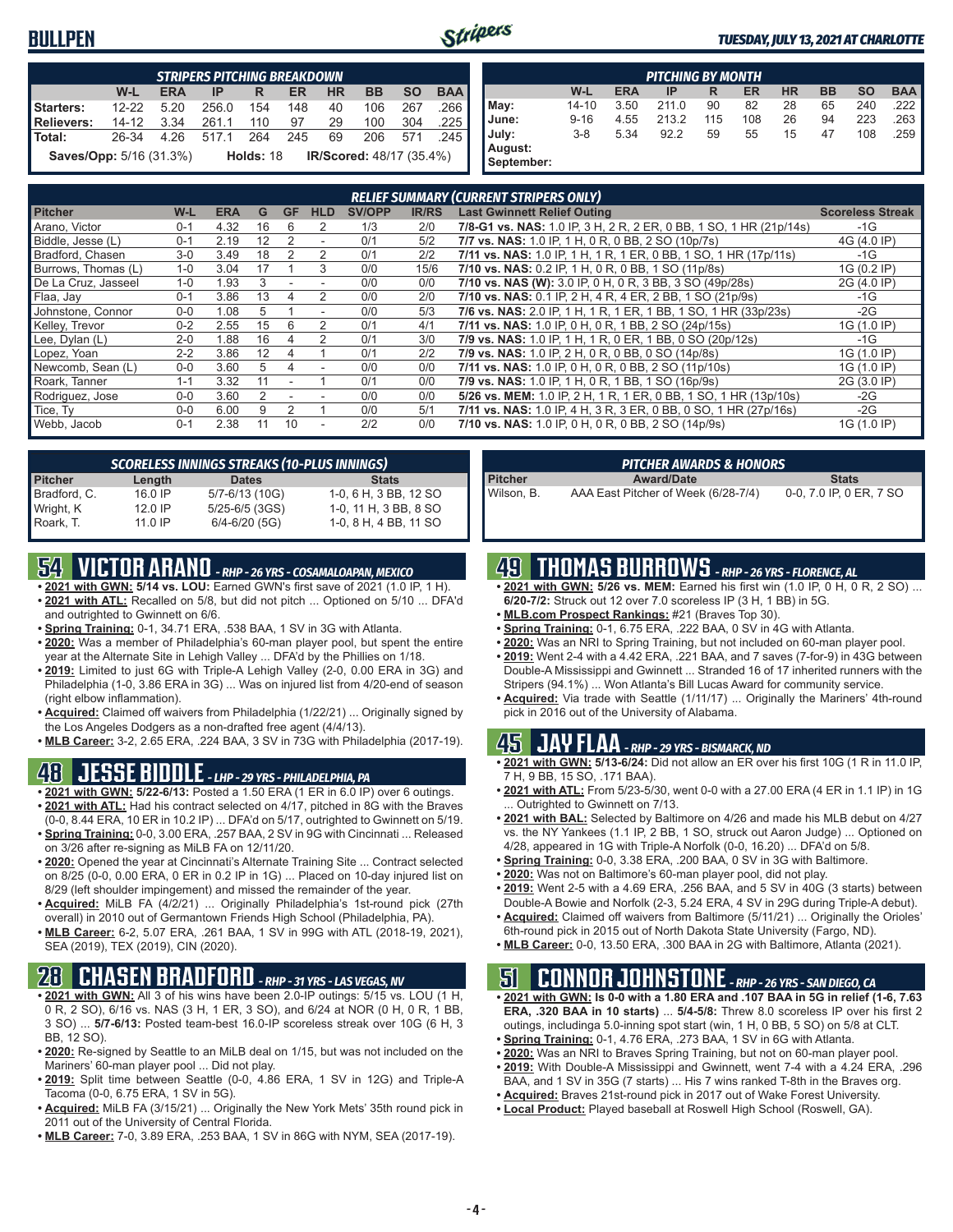#### **BULLPEN**



#### *TUESDAY, JULY 13, 2021 AT CHARLOTTE*

|                                | <b>STRIPERS PITCHING BREAKDOWN</b> |            |       |             |     |           |                                 |           |            |  |
|--------------------------------|------------------------------------|------------|-------|-------------|-----|-----------|---------------------------------|-----------|------------|--|
|                                | W-L                                | <b>ERA</b> | ΙP    | R           | ER  | <b>HR</b> | <b>BB</b>                       | <b>SO</b> | <b>BAA</b> |  |
| Starters:                      | $12 - 22$                          | 520        | 256.0 | 154         | 148 | 40        | 106                             | 267       | 266        |  |
| <b>Relievers:</b>              | 14-12                              | 3.34       | 261.1 | 110         | 97  | 29        | 100                             | 304       | .225       |  |
| Total:                         | 26-34                              | 4 26       | 5171  | 264         | 245 | 69        | 206                             | 571       | 245        |  |
| <b>Saves/Opp:</b> 5/16 (31.3%) |                                    |            |       | Holds: $18$ |     |           | <b>IR/Scored: 48/17 (35.4%)</b> |           |            |  |

|            | <b>PITCHING BY MONTH</b> |            |       |     |     |           |           |           |            |  |  |  |
|------------|--------------------------|------------|-------|-----|-----|-----------|-----------|-----------|------------|--|--|--|
|            | W-L                      | <b>ERA</b> | IP    | R   | ER  | <b>HR</b> | <b>BB</b> | <b>SO</b> | <b>BAA</b> |  |  |  |
| May:       | $14 - 10$                | 3.50       | 211.0 | 90  | 82  | 28        | 65        | 240       | .222 I     |  |  |  |
| June:      | $9 - 16$                 | 4.55       | 213.2 | 115 | 108 | 26        | 94        | 223       | .263 I     |  |  |  |
| July:      | $3 - 8$                  | 5.34       | 92.2  | 59  | 55  | 15        | 47        | 108       | .259 I     |  |  |  |
| August:    |                          |            |       |     |     |           |           |           |            |  |  |  |
| September: |                          |            |       |     |     |           |           |           |            |  |  |  |

|                     |         |            |    |               |                          |               |              | <b>RELIEF SUMMARY (CURRENT STRIPERS ONLY)</b>                      |                         |
|---------------------|---------|------------|----|---------------|--------------------------|---------------|--------------|--------------------------------------------------------------------|-------------------------|
| <b>Pitcher</b>      | W-L     | <b>ERA</b> | G  | <b>GF</b>     | <b>HLD</b>               | <b>SV/OPP</b> | <b>IR/RS</b> | <b>Last Gwinnett Relief Outing</b>                                 | <b>Scoreless Streak</b> |
| Arano, Victor       | $0 - 1$ | 4.32       | 16 | 6             | 2                        | 1/3           | 2/0          | 7/8-G1 vs. NAS: 1.0 IP, 3 H, 2 R, 2 ER, 0 BB, 1 SO, 1 HR (21p/14s) | $-1G$                   |
| Biddle, Jesse (L)   | $0 - 1$ | 2.19       | 12 |               | $\overline{\phantom{a}}$ | 0/1           | 5/2          | 7/7 vs. NAS: 1.0 IP, 1 H, 0 R, 0 BB, 2 SO (10p/7s)                 | 4G (4.0 IP)             |
| Bradford, Chasen    | $3-0$   | 3.49       | 18 |               | 2                        | 0/1           | 2/2          | 7/11 vs. NAS: 1.0 IP, 1 H, 1 R, 1 ER, 0 BB, 1 SO, 1 HR (17p/11s)   | $-1G$                   |
| Burrows, Thomas (L) | $1 - 0$ | 3.04       | 17 |               | 3                        | 0/0           | 15/6         | 7/10 vs. NAS: 0.2 IP, 1 H, 0 R, 0 BB, 1 SO (11p/8s)                | 1G (0.2 IP)             |
| De La Cruz, Jasseel | $1 - 0$ | 1.93       | 3  |               |                          | 0/0           | 0/0          | 7/10 vs. NAS (W): 3.0 IP, 0 H, 0 R, 3 BB, 3 SO (49p/28s)           | 2G (4.0 IP)             |
| Flaa, Jay           | $0 - 1$ | 3.86       | 13 | 4             | $\mathfrak{p}$           | 0/0           | 2/0          | 7/10 vs. NAS: 0.1 IP, 2 H, 4 R, 4 ER, 2 BB, 1 SO (21p/9s)          | -1G                     |
| Johnstone, Connor   | $0 - 0$ | 1.08       | 5  |               | ٠                        | 0/0           | 5/3          | 7/6 vs. NAS: 2.0 IP, 1 H, 1 R, 1 ER, 1 BB, 1 SO, 1 HR (33p/23s)    | $-2G$                   |
| Kelley, Trevor      | $0 - 2$ | 2.55       | 15 | 6             |                          | 0/1           | 4/1          | 7/11 vs. NAS: 1.0 IP, 0 H, 0 R, 1 BB, 2 SO (24p/15s)               | 1G (1.0 IP)             |
| Lee, Dylan (L)      | $2 - 0$ | 1.88       | 16 | 4             |                          | 0/1           | 3/0          | 7/9 vs. NAS: 1.0 IP, 1 H, 1 R, 0 ER, 1 BB, 0 SO (20p/12s)          | $-1G$                   |
| Lopez, Yoan         | $2 - 2$ | 3.86       | 12 | 4             |                          | 0/1           | 2/2          | 7/9 vs. NAS: 1.0 IP, 2 H, 0 R, 0 BB, 0 SO (14p/8s)                 | 1G (1.0 IP)             |
| Newcomb, Sean (L)   | $0 - 0$ | 3.60       | 5  | 4             | $\overline{\phantom{a}}$ | 0/0           | 0/0          | 7/11 vs. NAS: 1.0 IP, 0 H, 0 R, 0 BB, 2 SO (11p/10s)               | 1G (1.0 IP)             |
| Roark, Tanner       | $1 - 1$ | 3.32       | 11 |               |                          | 0/1           | 0/0          | 7/9 vs. NAS: 1.0 IP, 1 H, 0 R, 1 BB, 1 SO (16p/9s)                 | 2G (3.0 IP)             |
| Rodriguez, Jose     | $0 - 0$ | 3.60       |    |               |                          | 0/0           | 0/0          | 5/26 vs. MEM: 1.0 IP, 2 H, 1 R, 1 ER, 0 BB, 1 SO, 1 HR (13p/10s)   | $-2G$                   |
| Tice, Ty            | $0 - 0$ | 6.00       | 9  | $\mathcal{P}$ |                          | 0/0           | 5/1          | 7/11 vs. NAS: 1.0 IP, 4 H, 3 R, 3 ER, 0 BB, 0 SO, 1 HR (27p/16s)   | $-2G$                   |
| Webb, Jacob         | $0 - 1$ | 2.38       | 11 | 10            | ٠                        | 2/2           | 0/0          | 7/10 vs. NAS: 1.0 IP, 0 H, 0 R, 0 BB, 2 SO (14p/9s)                | 1G (1.0 IP)             |

|                | <b>SCORELESS INNINGS STREAKS (10-PLUS INNINGS)</b> |                    |                       |  |  |  |  |  |  |  |  |
|----------------|----------------------------------------------------|--------------------|-----------------------|--|--|--|--|--|--|--|--|
| <b>Pitcher</b> | Length                                             | <b>Dates</b>       | <b>Stats</b>          |  |  |  |  |  |  |  |  |
| Bradford, C.   | 16.0 IP                                            | 5/7-6/13 (10G)     | 1-0, 6 H, 3 BB, 12 SO |  |  |  |  |  |  |  |  |
| Wright, K      | 12.0 IP                                            | $5/25 - 6/5$ (3GS) | 1-0, 11 H, 3 BB, 8 SO |  |  |  |  |  |  |  |  |
| Roark. T.      | 11.0 IP                                            | $6/4 - 6/20$ (5G)  | 1-0, 8 H, 4 BB, 11 SO |  |  |  |  |  |  |  |  |

### **54 VICTOR ARANO** *- RHP - 26 YRS - COSAMALOAPAN, MEXICO*

- **• 2021 with GWN: 5/14 vs. LOU:** Earned GWN's first save of 2021 (1.0 IP, 1 H). **• 2021 with ATL:** Recalled on 5/8, but did not pitch ... Optioned on 5/10 ... DFA'd and outrighted to Gwinnett on 6/6.
- **• Spring Training:** 0-1, 34.71 ERA, .538 BAA, 1 SV in 3G with Atlanta.
- **• 2020:** Was a member of Philadelphia's 60-man player pool, but spent the entire year at the Alternate Site in Lehigh Valley ... DFA'd by the Phillies on 1/18.
- **• 2019:** Limited to just 6G with Triple-A Lehigh Valley (2-0, 0.00 ERA in 3G) and Philadelphia (1-0, 3.86 ERA in 3G) ... Was on injured list from 4/20-end of season (right elbow inflammation).
- **• Acquired:** Claimed off waivers from Philadelphia (1/22/21) ... Originally signed by the Los Angeles Dodgers as a non-drafted free agent (4/4/13).
- **• MLB Career:** 3-2, 2.65 ERA, .224 BAA, 3 SV in 73G with Philadelphia (2017-19).

#### **48 JESSE BIDDLE** *- LHP - 29 YRS - PHILADELPHIA, PA*

- **• 2021 with GWN: 5/22-6/13:** Posted a 1.50 ERA (1 ER in 6.0 IP) over 6 outings. **• 2021 with ATL:** Had his contract selected on 4/17, pitched in 8G with the Braves (0-0, 8.44 ERA, 10 ER in 10.2 IP) ... DFA'd on 5/17, outrighted to Gwinnett on 5/19.
- **• Spring Training:** 0-0, 3.00 ERA, .257 BAA, 2 SV in 9G with Cincinnati ... Released on 3/26 after re-signing as MiLB FA on 12/11/20.
- **• 2020:** Opened the year at Cincinnati's Alternate Training Site ... Contract selected on 8/25 (0-0, 0.00 ERA, 0 ER in 0.2 IP in 1G) ... Placed on 10-day injured list on 8/29 (left shoulder impingement) and missed the remainder of the year.
- **• Acquired:** MiLB FA (4/2/21) ... Originally Philadelphia's 1st-round pick (27th overall) in 2010 out of Germantown Friends High School (Philadelphia, PA).
- **• MLB Career:** 6-2, 5.07 ERA, .261 BAA, 1 SV in 99G with ATL (2018-19, 2021), SEA (2019), TEX (2019), CIN (2020).

### **28 CHASEN BRADFORD** *- RHP - 31 YRS - LAS VEGAS, NV*

- **• 2021 with GWN:** All 3 of his wins have been 2.0-IP outings: 5/15 vs. LOU (1 H, 0 R, 2 SO), 6/16 vs. NAS (3 H, 1 ER, 3 SO), and 6/24 at NOR (0 H, 0 R, 1 BB, 3 SO) ... **5/7-6/13:** Posted team-best 16.0-IP scoreless streak over 10G (6 H, 3 BB, 12 SO).
- **• 2020:** Re-signed by Seattle to an MiLB deal on 1/15, but was not included on the Mariners' 60-man player pool ... Did not play.
- **• 2019:** Split time between Seattle (0-0, 4.86 ERA, 1 SV in 12G) and Triple-A Tacoma (0-0, 6.75 ERA, 1 SV in 5G).
- **• Acquired:** MiLB FA (3/15/21) ... Originally the New York Mets' 35th round pick in 2011 out of the University of Central Florida.
- **• MLB Career:** 7-0, 3.89 ERA, .253 BAA, 1 SV in 86G with NYM, SEA (2017-19).

|            | <b>PITCHER AWARDS &amp; HONORS</b>  |                         |
|------------|-------------------------------------|-------------------------|
| Pitcher    | <b>Award/Date</b>                   | <b>Stats</b>            |
| Wilson. B. | AAA East Pitcher of Week (6/28-7/4) | 0-0, 7.0 IP, 0 ER, 7 SO |

### **49 THOMAS BURROWS** *- RHP - 26 YRS - FLORENCE, AL*

- **• 2021 with GWN: 5/26 vs. MEM:** Earned his first win (1.0 IP, 0 H, 0 R, 2 SO) ... **6/20-7/2:** Struck out 12 over 7.0 scoreless IP (3 H, 1 BB) in 5G.
- **• MLB.com Prospect Rankings:** #21 (Braves Top 30).
- **• Spring Training:** 0-1, 6.75 ERA, .222 BAA, 0 SV in 4G with Atlanta.
- **• 2020:** Was an NRI to Spring Training, but not included on 60-man player pool.
- **• 2019:** Went 2-4 with a 4.42 ERA, .221 BAA, and 7 saves (7-for-9) in 43G between Double-A Mississippi and Gwinnett ... Stranded 16 of 17 inherited runners with the Stripers (94.1%) ... Won Atlanta's Bill Lucas Award for community service.
- **• Acquired:** Via trade with Seattle (1/11/17) ... Originally the Mariners' 4th-round pick in 2016 out of the University of Alabama.

#### **45 JAY FLAA** *- RHP - 29 YRS - BISMARCK, ND*

- **• 2021 with GWN: 5/13-6/24:** Did not allow an ER over his first 10G (1 R in 11.0 IP, 7 H, 9 BB, 15 SO, .171 BAA).
- **• 2021 with ATL:** From 5/23-5/30, went 0-0 with a 27.00 ERA (4 ER in 1.1 IP) in 1G ... Outrighted to Gwinnett on 7/13.
- **• 2021 with BAL:** Selected by Baltimore on 4/26 and made his MLB debut on 4/27 vs. the NY Yankees (1.1 IP, 2 BB, 1 SO, struck out Aaron Judge) ... Optioned on 4/28, appeared in 1G with Triple-A Norfolk (0-0, 16.20) ... DFA'd on 5/8.
- **• Spring Training:** 0-0, 3.38 ERA, .200 BAA, 0 SV in 3G with Baltimore.
- **• 2020:** Was not on Baltimore's 60-man player pool, did not play.
- **• 2019:** Went 2-5 with a 4.69 ERA, .256 BAA, and 5 SV in 40G (3 starts) between Double-A Bowie and Norfolk (2-3, 5.24 ERA, 4 SV in 29G during Triple-A debut).
- **• Acquired:** Claimed off waivers from Baltimore (5/11/21) ... Originally the Orioles' 6th-round pick in 2015 out of North Dakota State University (Fargo, ND).
- **• MLB Career:** 0-0, 13.50 ERA, .300 BAA in 2G with Baltimore, Atlanta (2021).

#### **51 CONNOR JOHNSTONE** *- RHP - 26 YRS - SAN DIEGO, CA*

- **• 2021 with GWN: Is 0-0 with a 1.80 ERA and .107 BAA in 5G in relief (1-6, 7.63 ERA, .320 BAA in 10 starts)** ... **5/4-5/8:** Threw 8.0 scoreless IP over his first 2 outings, includinga 5.0-inning spot start (win, 1 H, 0 BB, 5 SO) on 5/8 at CLT.
- **• Spring Training:** 0-1, 4.76 ERA, .273 BAA, 1 SV in 6G with Atlanta.
- **• 2020:** Was an NRI to Braves Spring Training, but not on 60-man player pool.
- **• 2019:** With Double-A Mississippi and Gwinnett, went 7-4 with a 4.24 ERA, .296
- BAA, and 1 SV in 35G (7 starts) ... His 7 wins ranked T-8th in the Braves org.
- **• Acquired:** Braves 21st-round pick in 2017 out of Wake Forest University.
- **• Local Product:** Played baseball at Roswell High School (Roswell, GA).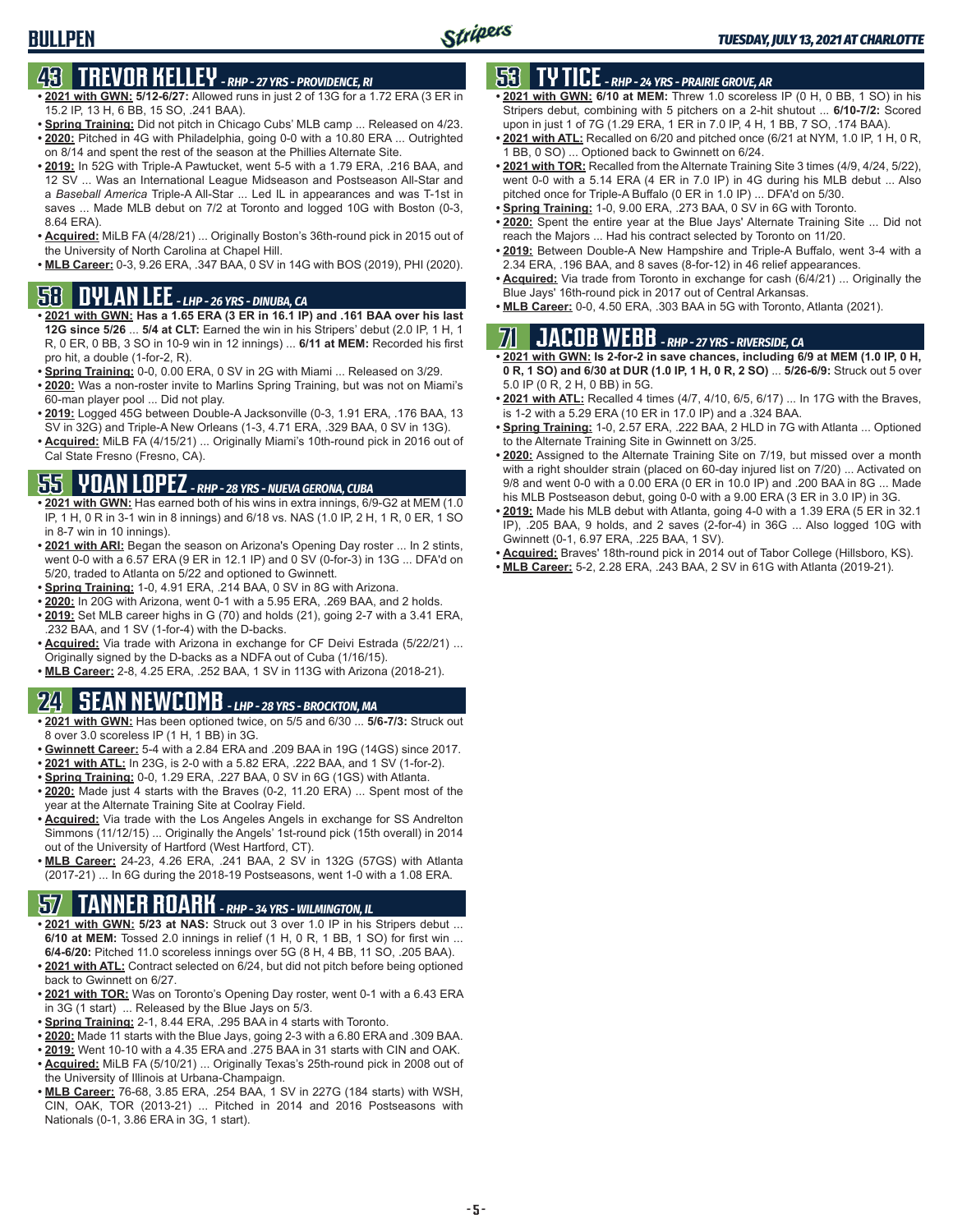# **43 TREVOR KELLEY** *- RHP - 27 YRS - PROVIDENCE, RI*

- **• 2021 with GWN: 5/12-6/27:** Allowed runs in just 2 of 13G for a 1.72 ERA (3 ER in 15.2 IP, 13 H, 6 BB, 15 SO, .241 BAA).
- **• Spring Training:** Did not pitch in Chicago Cubs' MLB camp ... Released on 4/23. **• 2020:** Pitched in 4G with Philadelphia, going 0-0 with a 10.80 ERA ... Outrighted
- on 8/14 and spent the rest of the season at the Phillies Alternate Site. **• 2019:** In 52G with Triple-A Pawtucket, went 5-5 with a 1.79 ERA, .216 BAA, and
- 12 SV ... Was an International League Midseason and Postseason All-Star and a *Baseball America* Triple-A All-Star ... Led IL in appearances and was T-1st in saves ... Made MLB debut on 7/2 at Toronto and logged 10G with Boston (0-3, 8.64 ERA).
- **• Acquired:** MiLB FA (4/28/21) ... Originally Boston's 36th-round pick in 2015 out of the University of North Carolina at Chapel Hill.
- **• MLB Career:** 0-3, 9.26 ERA, .347 BAA, 0 SV in 14G with BOS (2019), PHI (2020).

### **58 DYLAN LEE** *- LHP - 26 YRS - DINUBA, CA*

- **• 2021 with GWN: Has a 1.65 ERA (3 ER in 16.1 IP) and .161 BAA over his last 12G since 5/26** ... **5/4 at CLT:** Earned the win in his Stripers' debut (2.0 IP, 1 H, 1 R, 0 ER, 0 BB, 3 SO in 10-9 win in 12 innings) ... **6/11 at MEM:** Recorded his first pro hit, a double (1-for-2, R).
- **• Spring Training:** 0-0, 0.00 ERA, 0 SV in 2G with Miami ... Released on 3/29.
- **• 2020:** Was a non-roster invite to Marlins Spring Training, but was not on Miami's 60-man player pool ... Did not play.
- **• 2019:** Logged 45G between Double-A Jacksonville (0-3, 1.91 ERA, .176 BAA, 13 SV in 32G) and Triple-A New Orleans (1-3, 4.71 ERA, .329 BAA, 0 SV in 13G).
- **• Acquired:** MiLB FA (4/15/21) ... Originally Miami's 10th-round pick in 2016 out of Cal State Fresno (Fresno, CA).

### **55 YOAN LOPEZ** *- RHP - 28 YRS - NUEVA GERONA, CUBA*

- **• 2021 with GWN:** Has earned both of his wins in extra innings, 6/9-G2 at MEM (1.0 IP, 1 H, 0 R in 3-1 win in 8 innings) and 6/18 vs. NAS (1.0 IP, 2 H, 1 R, 0 ER, 1 SO in 8-7 win in 10 innings).
- **• 2021 with ARI:** Began the season on Arizona's Opening Day roster ... In 2 stints, went 0-0 with a 6.57 ERA (9 ER in 12.1 IP) and 0 SV (0-for-3) in 13G ... DFA'd on 5/20, traded to Atlanta on 5/22 and optioned to Gwinnett.
- **• Spring Training:** 1-0, 4.91 ERA, .214 BAA, 0 SV in 8G with Arizona.
- **• 2020:** In 20G with Arizona, went 0-1 with a 5.95 ERA, .269 BAA, and 2 holds. **• 2019:** Set MLB career highs in G (70) and holds (21), going 2-7 with a 3.41 ERA,
- .232 BAA, and 1 SV (1-for-4) with the D-backs. **• Acquired:** Via trade with Arizona in exchange for CF Deivi Estrada (5/22/21) ... Originally signed by the D-backs as a NDFA out of Cuba (1/16/15).
- **• MLB Career:** 2-8, 4.25 ERA, .252 BAA, 1 SV in 113G with Arizona (2018-21).

# **24 SEAN NEWCOMB** *- LHP - 28 YRS - BROCKTON, MA*

- **• 2021 with GWN:** Has been optioned twice, on 5/5 and 6/30 ... **5/6-7/3:** Struck out 8 over 3.0 scoreless IP (1 H, 1 BB) in 3G.
- **• Gwinnett Career:** 5-4 with a 2.84 ERA and .209 BAA in 19G (14GS) since 2017.
- **• 2021 with ATL:** In 23G, is 2-0 with a 5.82 ERA, .222 BAA, and 1 SV (1-for-2).
- **• Spring Training:** 0-0, 1.29 ERA, .227 BAA, 0 SV in 6G (1GS) with Atlanta.
- **• 2020:** Made just 4 starts with the Braves (0-2, 11.20 ERA) ... Spent most of the year at the Alternate Training Site at Coolray Field.
- **• Acquired:** Via trade with the Los Angeles Angels in exchange for SS Andrelton Simmons (11/12/15) ... Originally the Angels' 1st-round pick (15th overall) in 2014 out of the University of Hartford (West Hartford, CT).
- **• MLB Career:** 24-23, 4.26 ERA, .241 BAA, 2 SV in 132G (57GS) with Atlanta (2017-21) ... In 6G during the 2018-19 Postseasons, went 1-0 with a 1.08 ERA.

# **57 TANNER ROARK** *- RHP - 34 YRS - WILMINGTON, IL*

- **• 2021 with GWN: 5/23 at NAS:** Struck out 3 over 1.0 IP in his Stripers debut ... **6/10 at MEM:** Tossed 2.0 innings in relief (1 H, 0 R, 1 BB, 1 SO) for first win ... **6/4-6/20:** Pitched 11.0 scoreless innings over 5G (8 H, 4 BB, 11 SO, .205 BAA).
- **• 2021 with ATL:** Contract selected on 6/24, but did not pitch before being optioned back to Gwinnett on 6/27.
- **• 2021 with TOR:** Was on Toronto's Opening Day roster, went 0-1 with a 6.43 ERA in 3G (1 start) ... Released by the Blue Jays on 5/3.
- **• Spring Training:** 2-1, 8.44 ERA, .295 BAA in 4 starts with Toronto.
- **• 2020:** Made 11 starts with the Blue Jays, going 2-3 with a 6.80 ERA and .309 BAA.
- **• 2019:** Went 10-10 with a 4.35 ERA and .275 BAA in 31 starts with CIN and OAK. **• Acquired:** MiLB FA (5/10/21) ... Originally Texas's 25th-round pick in 2008 out of the University of Illinois at Urbana-Champaign.
- **• MLB Career:** 76-68, 3.85 ERA, .254 BAA, 1 SV in 227G (184 starts) with WSH, CIN, OAK, TOR (2013-21) ... Pitched in 2014 and 2016 Postseasons with Nationals (0-1, 3.86 ERA in 3G, 1 start).

## **53 TY TICE** *- RHP - 24 YRS - PRAIRIE GROVE, AR*

- **• 2021 with GWN: 6/10 at MEM:** Threw 1.0 scoreless IP (0 H, 0 BB, 1 SO) in his Stripers debut, combining with 5 pitchers on a 2-hit shutout ... **6/10-7/2:** Scored upon in just 1 of 7G (1.29 ERA, 1 ER in 7.0 IP, 4 H, 1 BB, 7 SO, .174 BAA).
- **• 2021 with ATL:** Recalled on 6/20 and pitched once (6/21 at NYM, 1.0 IP, 1 H, 0 R, 1 BB, 0 SO) ... Optioned back to Gwinnett on 6/24.
- **• 2021 with TOR:** Recalled from the Alternate Training Site 3 times (4/9, 4/24, 5/22), went 0-0 with a 5.14 ERA (4 ER in 7.0 IP) in 4G during his MLB debut ... Also pitched once for Triple-A Buffalo (0 ER in 1.0 IP) ... DFA'd on 5/30.
- **• Spring Training:** 1-0, 9.00 ERA, .273 BAA, 0 SV in 6G with Toronto.
- **• 2020:** Spent the entire year at the Blue Jays' Alternate Training Site ... Did not reach the Majors ... Had his contract selected by Toronto on 11/20.
- **• 2019:** Between Double-A New Hampshire and Triple-A Buffalo, went 3-4 with a 2.34 ERA, .196 BAA, and 8 saves (8-for-12) in 46 relief appearances.
- **• Acquired:** Via trade from Toronto in exchange for cash (6/4/21) ... Originally the Blue Jays' 16th-round pick in 2017 out of Central Arkansas.
- **• MLB Career:** 0-0, 4.50 ERA, .303 BAA in 5G with Toronto, Atlanta (2021).

# **71 JACOB WEBB** *- RHP - 27 YRS - RIVERSIDE, CA*

**• 2021 with GWN: Is 2-for-2 in save chances, including 6/9 at MEM (1.0 IP, 0 H, 0 R, 1 SO) and 6/30 at DUR (1.0 IP, 1 H, 0 R, 2 SO)** ... **5/26-6/9:** Struck out 5 over 5.0 IP (0 R, 2 H, 0 BB) in 5G.

- **• 2021 with ATL:** Recalled 4 times (4/7, 4/10, 6/5, 6/17) ... In 17G with the Braves, is 1-2 with a 5.29 ERA (10 ER in 17.0 IP) and a .324 BAA.
- **• Spring Training:** 1-0, 2.57 ERA, .222 BAA, 2 HLD in 7G with Atlanta ... Optioned to the Alternate Training Site in Gwinnett on 3/25.
- **• 2020:** Assigned to the Alternate Training Site on 7/19, but missed over a month with a right shoulder strain (placed on 60-day injured list on 7/20) ... Activated on 9/8 and went 0-0 with a 0.00 ERA (0 ER in 10.0 IP) and .200 BAA in 8G ... Made his MLB Postseason debut, going 0-0 with a 9.00 ERA (3 ER in 3.0 IP) in 3G.
- **• 2019:** Made his MLB debut with Atlanta, going 4-0 with a 1.39 ERA (5 ER in 32.1 IP), .205 BAA, 9 holds, and 2 saves (2-for-4) in 36G ... Also logged 10G with Gwinnett (0-1, 6.97 ERA, .225 BAA, 1 SV).
- **• Acquired:** Braves' 18th-round pick in 2014 out of Tabor College (Hillsboro, KS).
- **• MLB Career:** 5-2, 2.28 ERA, .243 BAA, 2 SV in 61G with Atlanta (2019-21).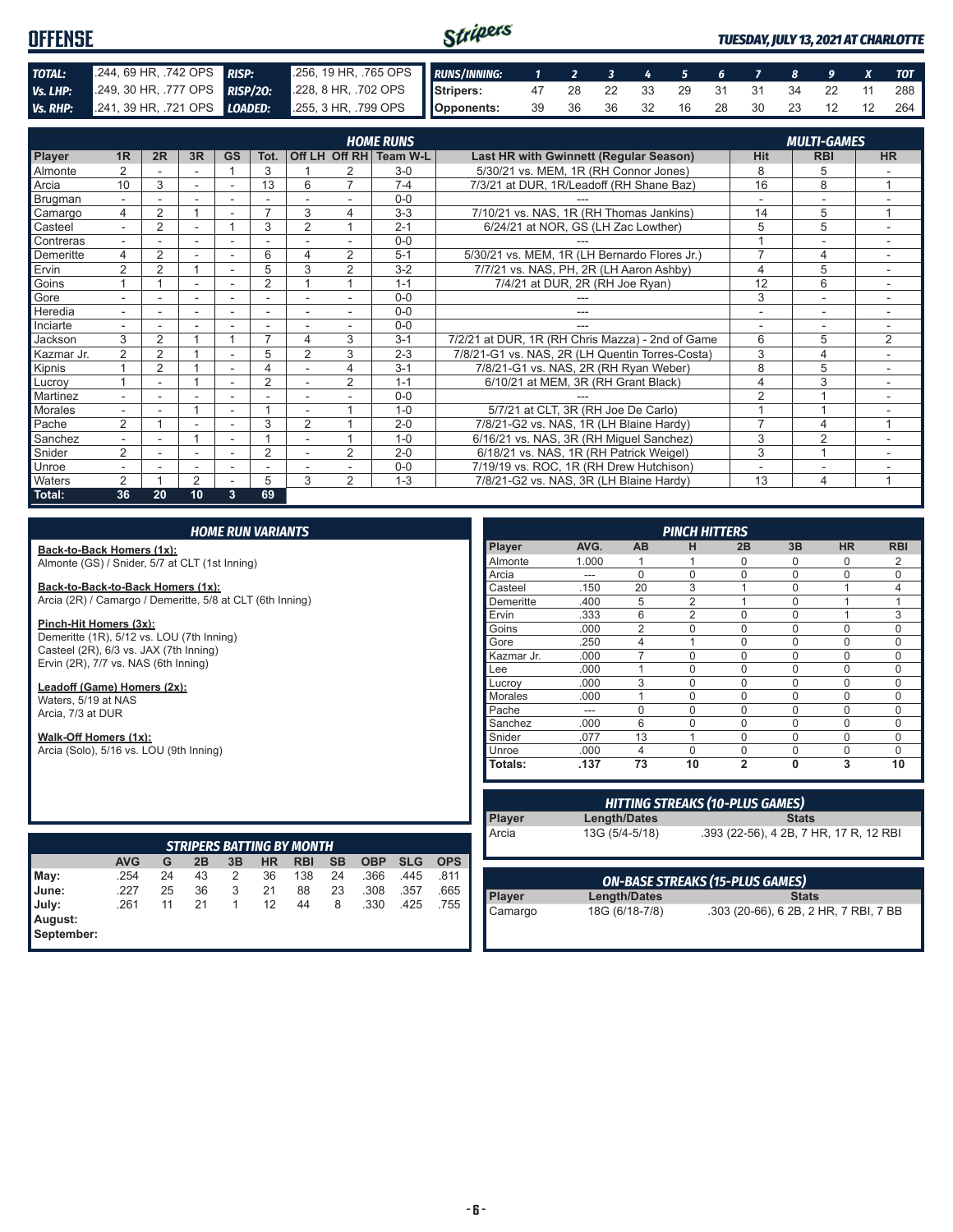#### Stripers **OFFENSE** *TUESDAY, JULY 13, 2021 AT CHARLOTTE TOTAL:* .244, 69 HR, .742 OPS *RISP:* .256, 19 HR, .765 OPS *RUNS/INNING: 1 2 3 4 5 6 7 8 9 X TOT Vs. LHP:* .249, 30 HR, .777 OPS *RISP/2O:* .228, 8 HR, .702 OPS **Stripers:** 47 28 22 33 29 31 31 34 22 11 288 *Vs. RHP:* .241, 39 HR, .721 OPS *LOADED:* .255, 3 HR, .799 OPS **Opponents:** 39 36 36 32 16 28 30 23 12 12 264

|                | <b>HOME RUNS</b>         |                |                |                          |                |                |                          |                        |                                                  |                          |                          |                |
|----------------|--------------------------|----------------|----------------|--------------------------|----------------|----------------|--------------------------|------------------------|--------------------------------------------------|--------------------------|--------------------------|----------------|
|                |                          |                |                |                          |                |                |                          | <b>MULTI-GAMES</b>     |                                                  |                          |                          |                |
| Player         | 1 <sub>R</sub>           | 2R             | 3R             | <b>GS</b>                | Tot.           |                |                          | Off LH Off RH Team W-L | Last HR with Gwinnett (Regular Season)           | <b>Hit</b>               | <b>RBI</b>               | <b>HR</b>      |
| <b>Almonte</b> | 2                        |                |                |                          | 3              |                | 2                        | $3-0$                  | 5/30/21 vs. MEM, 1R (RH Connor Jones)            | 8                        | 5                        |                |
| Arcia          | 10                       | 3              | ٠              | $\overline{\phantom{a}}$ | 13             | 6              | $\overline{7}$           | $7 - 4$                | 7/3/21 at DUR, 1R/Leadoff (RH Shane Baz)         | 16                       | 8                        | 1              |
| Brugman        | $\overline{\phantom{0}}$ | ٠              |                | $\overline{\phantom{a}}$ |                |                |                          | $0 - 0$                |                                                  |                          | $\overline{\phantom{a}}$ |                |
| Camargo        | 4                        | 2              |                |                          |                | 3              | 4                        | $3 - 3$                | 7/10/21 vs. NAS, 1R (RH Thomas Jankins)          | 14                       | 5                        | $\overline{ }$ |
| Casteel        |                          | 2              |                |                          | 3              | $\overline{2}$ |                          | $2 - 1$                | 6/24/21 at NOR, GS (LH Zac Lowther)              | 5                        | 5                        |                |
| Contreras      |                          |                |                | $\overline{\phantom{0}}$ |                |                |                          | $0 - 0$                |                                                  |                          |                          |                |
| Demeritte      | 4                        | 2              |                |                          | 6              | 4              | $\overline{2}$           | $5 - 1$                | 5/30/21 vs. MEM, 1R (LH Bernardo Flores Jr.)     |                          | 4                        | ۰              |
| Ervin          | 2                        | $\overline{2}$ |                | $\overline{\phantom{a}}$ | 5              | 3              | $\overline{2}$           | $3 - 2$                | 7/7/21 vs. NAS, PH, 2R (LH Aaron Ashby)          | 4                        | 5                        |                |
| Goins          |                          |                |                |                          | $\overline{2}$ |                |                          | $1 - 1$                | 7/4/21 at DUR, 2R (RH Joe Ryan)                  | 12                       | 6                        |                |
| Gore           |                          |                | ۰              | ٠                        | ٠              |                |                          | $0 - 0$                |                                                  | 3                        | ۰                        |                |
| <b>Heredia</b> | $\overline{a}$           |                |                |                          |                |                |                          | $0 - 0$                |                                                  |                          |                          |                |
| Inciarte       | $\overline{\phantom{0}}$ |                |                |                          |                |                | $\overline{\phantom{a}}$ | $0 - 0$                |                                                  | $\overline{\phantom{0}}$ | $\sim$                   | ۰              |
| Jackson        | 3                        | 2              |                |                          |                | 4              | 3                        | $3 - 1$                | 7/2/21 at DUR, 1R (RH Chris Mazza) - 2nd of Game | 6                        | 5                        | $\overline{2}$ |
| Kazmar Jr.     | 2                        | $\overline{2}$ |                |                          | 5              | $\overline{2}$ | 3                        | $2 - 3$                | 7/8/21-G1 vs. NAS, 2R (LH Quentin Torres-Costa)  | 3                        | 4                        |                |
| Kipnis         |                          | $\overline{2}$ |                |                          | 4              |                | 4                        | $3 - 1$                | 7/8/21-G1 vs. NAS, 2R (RH Ryan Weber)            | 8                        | 5                        |                |
| Lucroy         |                          | ٠              |                | $\overline{\phantom{a}}$ | $\overline{2}$ |                | $\overline{2}$           | $1 - 1$                | 6/10/21 at MEM, 3R (RH Grant Black)              | 4                        | 3                        |                |
| Martinez       |                          |                |                | $\overline{\phantom{a}}$ |                |                |                          | $0 - 0$                |                                                  | $\overline{2}$           |                          |                |
| Morales        |                          |                |                |                          |                |                |                          | $1 - 0$                | 5/7/21 at CLT, 3R (RH Joe De Carlo)              |                          |                          |                |
| Pache          | 2                        |                |                |                          | 3              | $\overline{2}$ |                          | $2 - 0$                | 7/8/21-G2 vs. NAS, 1R (LH Blaine Hardy)          |                          | 4                        | 4              |
| Sanchez        |                          |                |                |                          |                |                |                          | $1 - 0$                | 6/16/21 vs. NAS, 3R (RH Miquel Sanchez)          | 3                        | 2                        |                |
| Snider         | 2                        |                | ٠              | $\overline{\phantom{a}}$ | $\overline{2}$ |                | $\overline{2}$           | $2 - 0$                | 6/18/21 vs. NAS, 1R (RH Patrick Weigel)          | 3                        |                          |                |
| Unroe          |                          |                |                |                          |                |                |                          | $0-0$                  | 7/19/19 vs. ROC, 1R (RH Drew Hutchison)          |                          |                          |                |
| <b>Waters</b>  | $\mathcal{P}$            |                | $\overline{2}$ |                          | 5              | 3              | $\mathfrak{D}$           | $1 - 3$                | 7/8/21-G2 vs. NAS, 3R (LH Blaine Hardy)          | 13                       | 4                        |                |
| Total:         | 36                       | 20             | 10             | 3                        | 69             |                |                          |                        |                                                  |                          |                          |                |

#### *HOME RUN VARIANTS*

**Back-to-Back Homers (1x):** Almonte (GS) / Snider, 5/7 at CLT (1st Inning)

**Back-to-Back-to-Back Homers (1x):**

Arcia (2R) / Camargo / Demeritte, 5/8 at CLT (6th Inning)

**Pinch-Hit Homers (3x):** Demeritte (1R), 5/12 vs. LOU (7th Inning) Casteel (2R), 6/3 vs. JAX (7th Inning) Ervin (2R), 7/7 vs. NAS (6th Inning)

**Leadoff (Game) Homers (2x):** Waters, 5/19 at NAS Arcia, 7/3 at DUR

#### **Walk-Off Homers (1x):**

Arcia (Solo), 5/16 vs. LOU (9th Inning)

| <b>Player</b>  | AVG.  | ΑВ             | н              | 2B             | 3B       | <b>HR</b> | <b>RBI</b>     |
|----------------|-------|----------------|----------------|----------------|----------|-----------|----------------|
| Almonte        | 1.000 |                |                | O              | 0        | 0         | 2              |
| Arcia          | ---   | $\Omega$       | $\Omega$       | $\Omega$       | $\Omega$ | 0         | $\mathbf 0$    |
| Casteel        | .150  | 20             | 3              |                | 0        |           | $\overline{4}$ |
| Demeritte      | .400  | 5              | $\overline{2}$ |                | $\Omega$ | 1         | 1              |
| Ervin          | .333  | 6              | $\overline{2}$ | $\Omega$       | $\Omega$ | 1         | 3              |
| Goins          | .000  | $\overline{2}$ | $\Omega$       | $\Omega$       | $\Omega$ | 0         | $\mathbf 0$    |
| Gore           | .250  | 4              |                | $\Omega$       | $\Omega$ | 0         | $\Omega$       |
| Kazmar Jr.     | .000  | 7              | $\Omega$       | $\Omega$       | $\Omega$ | 0         | $\mathbf 0$    |
| Lee            | .000  | 1              | $\Omega$       | $\Omega$       | $\Omega$ | 0         | $\mathbf 0$    |
| Lucrov         | .000  | 3              | $\Omega$       | $\Omega$       | $\Omega$ | $\Omega$  | $\mathbf 0$    |
| <b>Morales</b> | .000  |                | $\Omega$       | $\Omega$       | $\Omega$ | 0         | $\mathbf 0$    |
| Pache          | ---   | 0              | $\Omega$       | $\Omega$       | $\Omega$ | 0         | $\mathbf 0$    |
| Sanchez        | .000  | 6              | $\Omega$       | $\Omega$       | $\Omega$ | 0         | $\mathbf 0$    |
| Snider         | .077  | 13             | 1              | $\Omega$       | $\Omega$ | 0         | $\mathbf 0$    |
| Unroe          | .000  | $\overline{4}$ | $\Omega$       | $\Omega$       | $\Omega$ | $\Omega$  | $\mathbf 0$    |
| Totals:        | .137  | 73             | 10             | $\overline{2}$ |          | 3         | 10             |

*PINCH HITTERS*

| <b>STRIPERS BATTING BY MONTH</b> |            |    |    |    |           |            |           |            |            |            |
|----------------------------------|------------|----|----|----|-----------|------------|-----------|------------|------------|------------|
|                                  | <b>AVG</b> | G  | 2B | 3B | <b>HR</b> | <b>RBI</b> | <b>SB</b> | <b>OBP</b> | <b>SLG</b> | <b>OPS</b> |
| May:                             | .254       | 24 | 43 | 2  | 36        | 138        | 24        | .366       | .445       | .811       |
| June:                            | .227       | 25 | 36 | 3  | 21        | 88         | 23        | .308       | .357       | .665       |
| July:                            | .261       | 11 | 21 |    | 12        | 44         | 8         | .330       | .425       | .755       |
| August:                          |            |    |    |    |           |            |           |            |            |            |
| September:                       |            |    |    |    |           |            |           |            |            |            |

| ON-BASE STREAKS (15-PLUS GAMES) |                |                                       |  |  |
|---------------------------------|----------------|---------------------------------------|--|--|
|                                 | Length/Dates   | <b>Stats</b>                          |  |  |
| Player<br>Camargo               | 18G (6/18-7/8) | .303 (20-66), 6 2B, 2 HR, 7 RBI, 7 BB |  |  |

Arcia 13G (5/4-5/18) .393 (22-56), 4 2B, 7 HR, 17 R, 12 RBI

**Player Length/Dates** 

*HITTING STREAKS (10-PLUS GAMES)*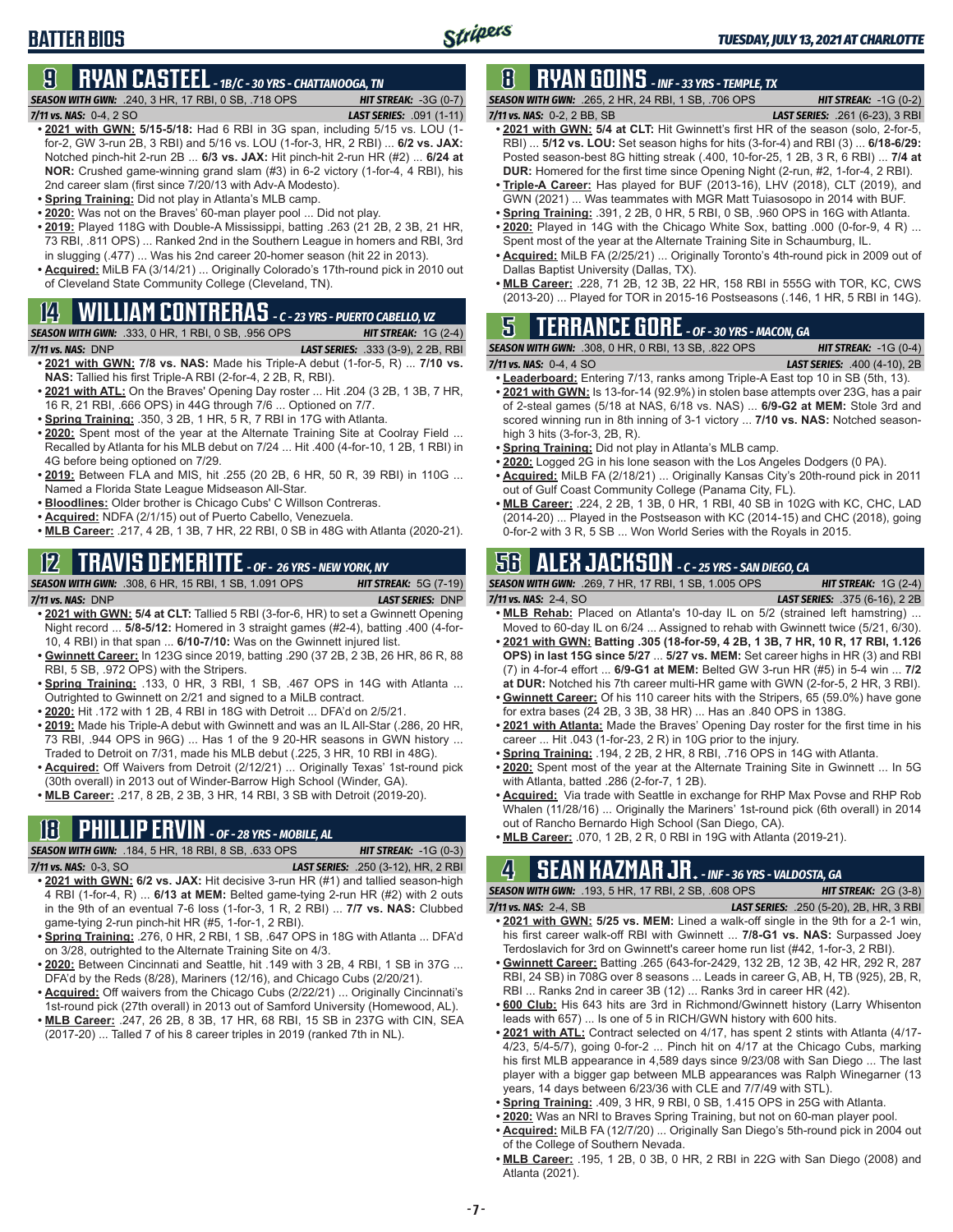# **BATTER BIOS**

# **9 RYAN CASTEEL** *- 1B/C - 30 YRS - CHATTANOOGA, TN*

**SEASON WITH GWN:** .240, 3 HR, 17 RBI, 0 SB, .718 OPS **HIT STREAK: -3G (0-7)**<br>**7/11 vs. NAS: 0-4, 2 SO LAST SERIES: .091 (1-11)** 

# *7/11 vs. NAS:*0-4, 2 SO *LAST SERIES:* .091 (1-11)

- **• 2021 with GWN: 5/15-5/18:** Had 6 RBI in 3G span, including 5/15 vs. LOU (1 for-2, GW 3-run 2B, 3 RBI) and 5/16 vs. LOU (1-for-3, HR, 2 RBI) ... **6/2 vs. JAX:** Notched pinch-hit 2-run 2B ... **6/3 vs. JAX:** Hit pinch-hit 2-run HR (#2) ... **6/24 at NOR:** Crushed game-winning grand slam (#3) in 6-2 victory (1-for-4, 4 RBI), his 2nd career slam (first since 7/20/13 with Adv-A Modesto).
- **• Spring Training:** Did not play in Atlanta's MLB camp.
- **• 2020:** Was not on the Braves' 60-man player pool ... Did not play.
- **• 2019:** Played 118G with Double-A Mississippi, batting .263 (21 2B, 2 3B, 21 HR, 73 RBI, .811 OPS) ... Ranked 2nd in the Southern League in homers and RBI, 3rd in slugging (.477) ... Was his 2nd career 20-homer season (hit 22 in 2013).
- **• Acquired:** MiLB FA (3/14/21) ... Originally Colorado's 17th-round pick in 2010 out of Cleveland State Community College (Cleveland, TN).

# **14 WILLIAM CONTRERAS** *- C - 23 YRS - PUERTO CABELLO, VZ*

#### *SEASON WITH GWN:*.333, 0 HR, 1 RBI, 0 SB, .956 OPS *HIT STREAK:* 1G (2-4)

- *7/11 vs. NAS:*DNP *LAST SERIES:* .333 (3-9), 2 2B, RBI
- **• 2021 with GWN: 7/8 vs. NAS:** Made his Triple-A debut (1-for-5, R) ... **7/10 vs. NAS:** Tallied his first Triple-A RBI (2-for-4, 2 2B, R, RBI).
- **• 2021 with ATL:** On the Braves' Opening Day roster ... Hit .204 (3 2B, 1 3B, 7 HR, 16 R, 21 RBI, .666 OPS) in 44G through 7/6 ... Optioned on 7/7.
- **• Spring Training:** .350, 3 2B, 1 HR, 5 R, 7 RBI in 17G with Atlanta.
- **• 2020:** Spent most of the year at the Alternate Training Site at Coolray Field ... Recalled by Atlanta for his MLB debut on 7/24 ... Hit .400 (4-for-10, 1 2B, 1 RBI) in 4G before being optioned on 7/29.
- **• 2019:** Between FLA and MIS, hit .255 (20 2B, 6 HR, 50 R, 39 RBI) in 110G ... Named a Florida State League Midseason All-Star.
- **• Bloodlines:** Older brother is Chicago Cubs' C Willson Contreras.
- **• Acquired:** NDFA (2/1/15) out of Puerto Cabello, Venezuela.
- **• MLB Career:** .217, 4 2B, 1 3B, 7 HR, 22 RBI, 0 SB in 48G with Atlanta (2020-21).

### **12 TRAVIS DEMERITTE** *- OF - 26 YRS - NEW YORK, NY*

#### *SEASON WITH GWN:*.308, 6 HR, 15 RBI, 1 SB, 1.091 OPS *HIT STREAK:* 5G (7-19)

- *7/11 vs. NAS:*DNP *LAST SERIES:* DNP **• 2021 with GWN: 5/4 at CLT:** Tallied 5 RBI (3-for-6, HR) to set a Gwinnett Opening Night record ... **5/8-5/12:** Homered in 3 straight games (#2-4), batting .400 (4-for-10, 4 RBI) in that span ... **6/10-7/10:** Was on the Gwinnett injured list.
- **• Gwinnett Career:** In 123G since 2019, batting .290 (37 2B, 2 3B, 26 HR, 86 R, 88 RBI, 5 SB, .972 OPS) with the Stripers.
- **• Spring Training:** .133, 0 HR, 3 RBI, 1 SB, .467 OPS in 14G with Atlanta ... Outrighted to Gwinnett on 2/21 and signed to a MiLB contract.
- **• 2020:** Hit .172 with 1 2B, 4 RBI in 18G with Detroit ... DFA'd on 2/5/21.
- **• 2019:** Made his Triple-A debut with Gwinnett and was an IL All-Star (.286, 20 HR, 73 RBI, .944 OPS in 96G) ... Has 1 of the 9 20-HR seasons in GWN history ... Traded to Detroit on 7/31, made his MLB debut (.225, 3 HR, 10 RBI in 48G).
- **• Acquired:** Off Waivers from Detroit (2/12/21) ... Originally Texas' 1st-round pick (30th overall) in 2013 out of Winder-Barrow High School (Winder, GA).
- **• MLB Career:** .217, 8 2B, 2 3B, 3 HR, 14 RBI, 3 SB with Detroit (2019-20).

### **18 PHILLIP ERVIN** *- OF - 28 YRS - MOBILE, AL*

*SEASON WITH GWN:*.184, 5 HR, 18 RBI, 8 SB, .633 OPS *HIT STREAK:* -1G (0-3) *7/11 vs. NAS:*0-3, SO *LAST SERIES:* .250 (3-12), HR, 2 RBI

- **• 2021 with GWN: 6/2 vs. JAX:** Hit decisive 3-run HR (#1) and tallied season-high 4 RBI (1-for-4, R) ... **6/13 at MEM:** Belted game-tying 2-run HR (#2) with 2 outs in the 9th of an eventual 7-6 loss (1-for-3, 1 R, 2 RBI) ... **7/7 vs. NAS:** Clubbed game-tying 2-run pinch-hit HR (#5, 1-for-1, 2 RBI).
- **• Spring Training:** .276, 0 HR, 2 RBI, 1 SB, .647 OPS in 18G with Atlanta ... DFA'd on 3/28, outrighted to the Alternate Training Site on 4/3.
- **• 2020:** Between Cincinnati and Seattle, hit .149 with 3 2B, 4 RBI, 1 SB in 37G ... DFA'd by the Reds (8/28), Mariners (12/16), and Chicago Cubs (2/20/21).
- **• Acquired:** Off waivers from the Chicago Cubs (2/22/21) ... Originally Cincinnati's 1st-round pick (27th overall) in 2013 out of Samford University (Homewood, AL).
- **• MLB Career:** .247, 26 2B, 8 3B, 17 HR, 68 RBI, 15 SB in 237G with CIN, SEA (2017-20) ... Talled 7 of his 8 career triples in 2019 (ranked 7th in NL).

# **8 RYAN GOINS** *- INF - 33 YRS - TEMPLE, TX*

*SEASON WITH GWN:*.265, 2 HR, 24 RBI, 1 SB, .706 OPS *HIT STREAK:* -1G (0-2) *7/11 vs. NAS:*0-2, 2 BB, SB *LAST SERIES:* .261 (6-23), 3 RBI

- **• 2021 with GWN: 5/4 at CLT:** Hit Gwinnett's first HR of the season (solo, 2-for-5, RBI) ... **5/12 vs. LOU:** Set season highs for hits (3-for-4) and RBI (3) ... **6/18-6/29:** Posted season-best 8G hitting streak (.400, 10-for-25, 1 2B, 3 R, 6 RBI) ... **7/4 at DUR:** Homered for the first time since Opening Night (2-run, #2, 1-for-4, 2 RBI).
- **• Triple-A Career:** Has played for BUF (2013-16), LHV (2018), CLT (2019), and GWN (2021) ... Was teammates with MGR Matt Tuiasosopo in 2014 with BUF.
- **• Spring Training:** .391, 2 2B, 0 HR, 5 RBI, 0 SB, .960 OPS in 16G with Atlanta.
- **• 2020:** Played in 14G with the Chicago White Sox, batting .000 (0-for-9, 4 R) ... Spent most of the year at the Alternate Training Site in Schaumburg, IL.
- **• Acquired:** MiLB FA (2/25/21) ... Originally Toronto's 4th-round pick in 2009 out of Dallas Baptist University (Dallas, TX).
- **• MLB Career:** .228, 71 2B, 12 3B, 22 HR, 158 RBI in 555G with TOR, KC, CWS (2013-20) ... Played for TOR in 2015-16 Postseasons (.146, 1 HR, 5 RBI in 14G).

## **5 TERRANCE GORE** *- OF - 30 YRS - MACON, GA*

*SEASON WITH GWN:*.308, 0 HR, 0 RBI, 13 SB, .822 OPS *HIT STREAK:* -1G (0-4)

*7/11 vs. NAS:*0-4, 4 SO *LAST SERIES:* .400 (4-10), 2B

- **• Leaderboard:** Entering 7/13, ranks among Triple-A East top 10 in SB (5th, 13). **• 2021 with GWN:** Is 13-for-14 (92.9%) in stolen base attempts over 23G, has a pair
- of 2-steal games (5/18 at NAS, 6/18 vs. NAS) ... **6/9-G2 at MEM:** Stole 3rd and scored winning run in 8th inning of 3-1 victory ... **7/10 vs. NAS:** Notched seasonhigh 3 hits (3-for-3, 2B, R).
- **• Spring Training:** Did not play in Atlanta's MLB camp.
- **• 2020:** Logged 2G in his lone season with the Los Angeles Dodgers (0 PA).
- **• Acquired:** MiLB FA (2/18/21) ... Originally Kansas City's 20th-round pick in 2011 out of Gulf Coast Community College (Panama City, FL).
- **• MLB Career:** .224, 2 2B, 1 3B, 0 HR, 1 RBI, 40 SB in 102G with KC, CHC, LAD (2014-20) ... Played in the Postseason with KC (2014-15) and CHC (2018), going 0-for-2 with 3 R, 5 SB ... Won World Series with the Royals in 2015.

### **56 ALEX JACKSON** *- C - 25 YRS - SAN DIEGO, CA*

*SEASON WITH GWN:*.269, 7 HR, 17 RBI, 1 SB, 1.005 OPS *HIT STREAK:* 1G (2-4)

*7/11 vs. NAS:*2-4, SO *LAST SERIES:* .375 (6-16), 2 2B

- **• MLB Rehab:** Placed on Atlanta's 10-day IL on 5/2 (strained left hamstring) ... Moved to 60-day IL on 6/24 ... Assigned to rehab with Gwinnett twice (5/21, 6/30). **• 2021 with GWN: Batting .305 (18-for-59, 4 2B, 1 3B, 7 HR, 10 R, 17 RBI, 1.126 OPS) in last 15G since 5/27** ... **5/27 vs. MEM:** Set career highs in HR (3) and RBI
- (7) in 4-for-4 effort ... **6/9-G1 at MEM:** Belted GW 3-run HR (#5) in 5-4 win ... **7/2 at DUR:** Notched his 7th career multi-HR game with GWN (2-for-5, 2 HR, 3 RBI). **• Gwinnett Career:** Of his 110 career hits with the Stripers, 65 (59.0%) have gone
- for extra bases (24 2B, 3 3B, 38 HR) ... Has an .840 OPS in 138G.
- **• 2021 with Atlanta:** Made the Braves' Opening Day roster for the first time in his career ... Hit .043 (1-for-23, 2 R) in 10G prior to the injury.
- **• Spring Training:** .194, 2 2B, 2 HR, 8 RBI, .716 OPS in 14G with Atlanta.
- **• 2020:** Spent most of the year at the Alternate Training Site in Gwinnett ... In 5G with Atlanta, batted .286 (2-for-7, 1 2B).
- **• Acquired:** Via trade with Seattle in exchange for RHP Max Povse and RHP Rob Whalen (11/28/16) ... Originally the Mariners' 1st-round pick (6th overall) in 2014 out of Rancho Bernardo High School (San Diego, CA).
- **• MLB Career:** .070, 1 2B, 2 R, 0 RBI in 19G with Atlanta (2019-21).

# **4 SEAN KAZMAR JR.** *- INF - 36 YRS - VALDOSTA, GA*

*SEASON WITH GWN:*.193, 5 HR, 17 RBI, 2 SB, .608 OPS *HIT STREAK:* 2G (3-8)

- *7/11 vs. NAS:*2-4, SB *LAST SERIES:* .250 (5-20), 2B, HR, 3 RBI **• 2021 with GWN: 5/25 vs. MEM:** Lined a walk-off single in the 9th for a 2-1 win, his first career walk-off RBI with Gwinnett ... **7/8-G1 vs. NAS:** Surpassed Joey Terdoslavich for 3rd on Gwinnett's career home run list (#42, 1-for-3, 2 RBI).
- **• Gwinnett Career:** Batting .265 (643-for-2429, 132 2B, 12 3B, 42 HR, 292 R, 287 RBI, 24 SB) in 708G over 8 seasons ... Leads in career G, AB, H, TB (925), 2B, R, RBI ... Ranks 2nd in career 3B (12) ... Ranks 3rd in career HR (42).
- **• 600 Club:** His 643 hits are 3rd in Richmond/Gwinnett history (Larry Whisenton leads with 657) ... Is one of 5 in RICH/GWN history with 600 hits.
- **• 2021 with ATL:** Contract selected on 4/17, has spent 2 stints with Atlanta (4/17- 4/23, 5/4-5/7), going 0-for-2 ... Pinch hit on 4/17 at the Chicago Cubs, marking his first MLB appearance in 4,589 days since 9/23/08 with San Diego ... The last player with a bigger gap between MLB appearances was Ralph Winegarner (13 years, 14 days between 6/23/36 with CLE and 7/7/49 with STL).
- **• Spring Training:** .409, 3 HR, 9 RBI, 0 SB, 1.415 OPS in 25G with Atlanta.
- **• 2020:** Was an NRI to Braves Spring Training, but not on 60-man player pool.
- **• Acquired:** MiLB FA (12/7/20) ... Originally San Diego's 5th-round pick in 2004 out of the College of Southern Nevada.
- **• MLB Career:** .195, 1 2B, 0 3B, 0 HR, 2 RBI in 22G with San Diego (2008) and Atlanta (2021).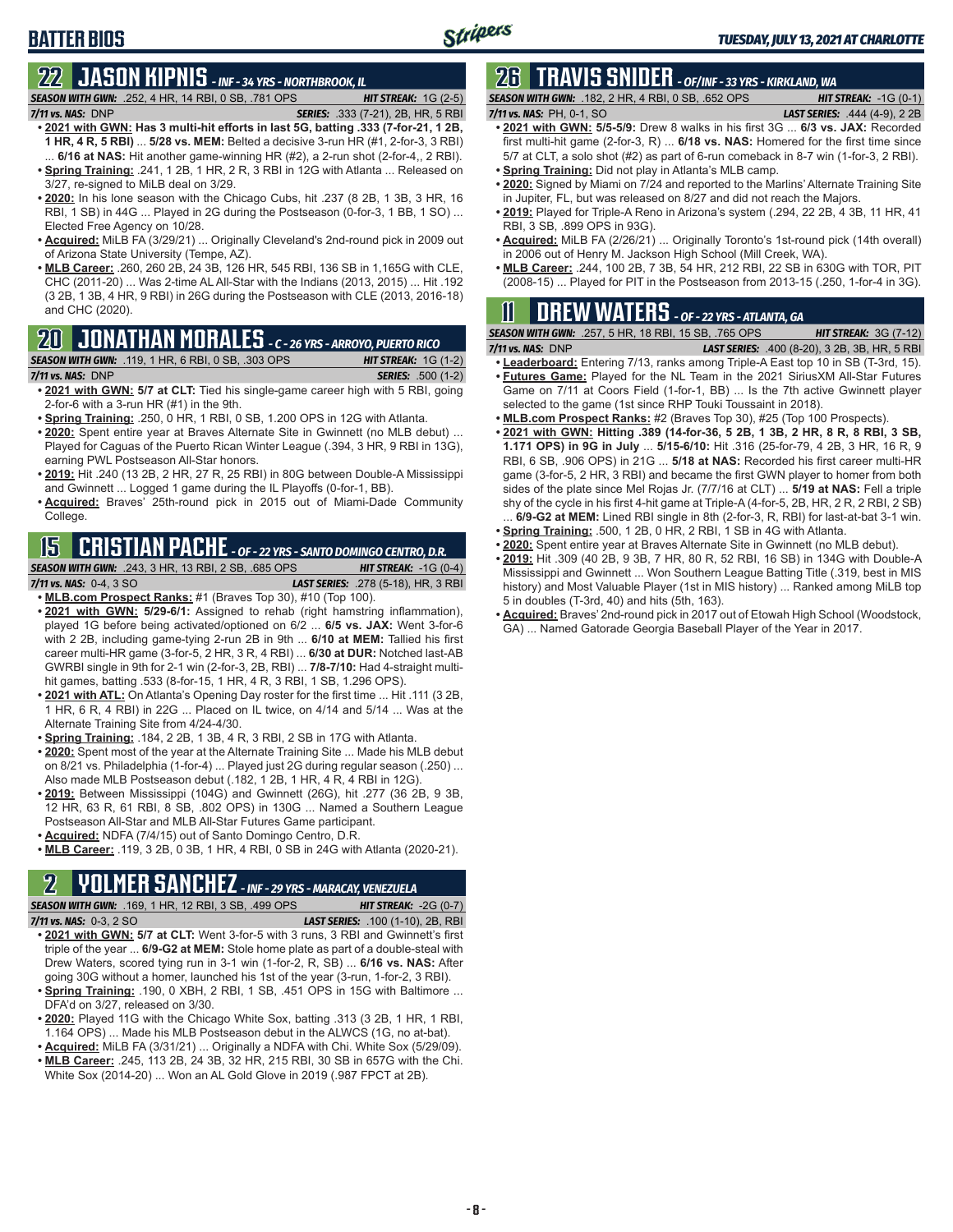# **22 JASON KIPNIS** *- INF - 34 YRS - NORTHBROOK, IL*

### *SEASON WITH GWN:*.252, 4 HR, 14 RBI, 0 SB, .781 OPS *HIT STREAK:* 1G (2-5)

**BATTER BIOS**

- *7/11 vs. NAS:*DNP *SERIES:* .333 (7-21), 2B, HR, 5 RBI **• 2021 with GWN: Has 3 multi-hit efforts in last 5G, batting .333 (7-for-21, 1 2B, 1 HR, 4 R, 5 RBI)** ... **5/28 vs. MEM:** Belted a decisive 3-run HR (#1, 2-for-3, 3 RBI) ... **6/16 at NAS:** Hit another game-winning HR (#2), a 2-run shot (2-for-4,, 2 RBI).
- **• Spring Training:** .241, 1 2B, 1 HR, 2 R, 3 RBI in 12G with Atlanta ... Released on 3/27, re-signed to MiLB deal on 3/29.
- **• 2020:** In his lone season with the Chicago Cubs, hit .237 (8 2B, 1 3B, 3 HR, 16 RBI, 1 SB) in 44G ... Played in 2G during the Postseason (0-for-3, 1 BB, 1 SO) ... Elected Free Agency on 10/28.
- **• Acquired:** MiLB FA (3/29/21) ... Originally Cleveland's 2nd-round pick in 2009 out of Arizona State University (Tempe, AZ).
- **• MLB Career:** .260, 260 2B, 24 3B, 126 HR, 545 RBI, 136 SB in 1,165G with CLE, CHC (2011-20) ... Was 2-time AL All-Star with the Indians (2013, 2015) ... Hit .192 (3 2B, 1 3B, 4 HR, 9 RBI) in 26G during the Postseason with CLE (2013, 2016-18) and CHC (2020).

#### **20 JONATHAN MORALES** *- C - 26 YRS - ARROYO, PUERTO RICO*

*SEASON WITH GWN:*.119, 1 HR, 6 RBI, 0 SB, .303 OPS *HIT STREAK:* 1G (1-2) *7/11 vs. NAS:*DNP *SERIES:* .500 (1-2)

- **• 2021 with GWN: 5/7 at CLT:** Tied his single-game career high with 5 RBI, going 2-for-6 with a 3-run HR (#1) in the 9th.
- **• Spring Training:** .250, 0 HR, 1 RBI, 0 SB, 1.200 OPS in 12G with Atlanta.
- **• 2020:** Spent entire year at Braves Alternate Site in Gwinnett (no MLB debut) ... Played for Caguas of the Puerto Rican Winter League (.394, 3 HR, 9 RBI in 13G), earning PWL Postseason All-Star honors.
- **• 2019:** Hit .240 (13 2B, 2 HR, 27 R, 25 RBI) in 80G between Double-A Mississippi and Gwinnett ... Logged 1 game during the IL Playoffs (0-for-1, BB).
- **• Acquired:** Braves' 25th-round pick in 2015 out of Miami-Dade Community College.

### **15 CRISTIAN PACHE** *- OF - 22 YRS - SANTO DOMINGO CENTRO, D.R.*

*SEASON WITH GWN:*.243, 3 HR, 13 RBI, 2 SB, .685 OPS *HIT STREAK:* -1G (0-4) *7/11 vs. NAS:* 0-4, 3 SO *LAST SERIES:* .278 (5-18), HR, 3 RBI

**• MLB.com Prospect Ranks:** #1 (Braves Top 30), #10 (Top 100).

- **• 2021 with GWN: 5/29-6/1:** Assigned to rehab (right hamstring inflammation), played 1G before being activated/optioned on 6/2 ... **6/5 vs. JAX:** Went 3-for-6 with 2 2B, including game-tying 2-run 2B in 9th ... **6/10 at MEM:** Tallied his first career multi-HR game (3-for-5, 2 HR, 3 R, 4 RBI) ... **6/30 at DUR:** Notched last-AB GWRBI single in 9th for 2-1 win (2-for-3, 2B, RBI) ... **7/8-7/10:** Had 4-straight multihit games, batting .533 (8-for-15, 1 HR, 4 R, 3 RBI, 1 SB, 1.296 OPS).
- **• 2021 with ATL:** On Atlanta's Opening Day roster for the first time ... Hit .111 (3 2B, 1 HR, 6 R, 4 RBI) in 22G ... Placed on IL twice, on 4/14 and 5/14 ... Was at the Alternate Training Site from 4/24-4/30.
- **• Spring Training:** .184, 2 2B, 1 3B, 4 R, 3 RBI, 2 SB in 17G with Atlanta.
- **• 2020:** Spent most of the year at the Alternate Training Site ... Made his MLB debut on 8/21 vs. Philadelphia (1-for-4) ... Played just 2G during regular season (.250) ... Also made MLB Postseason debut (.182, 1 2B, 1 HR, 4 R, 4 RBI in 12G).
- **• 2019:** Between Mississippi (104G) and Gwinnett (26G), hit .277 (36 2B, 9 3B, 12 HR, 63 R, 61 RBI, 8 SB, .802 OPS) in 130G ... Named a Southern League Postseason All-Star and MLB All-Star Futures Game participant.
- **• Acquired:** NDFA (7/4/15) out of Santo Domingo Centro, D.R.
- **• MLB Career:** .119, 3 2B, 0 3B, 1 HR, 4 RBI, 0 SB in 24G with Atlanta (2020-21).

# **2 YOLMER SANCHEZ** *- INF - 29 YRS - MARACAY, VENEZUELA*

*SEASON WITH GWN:*.169, 1 HR, 12 RBI, 3 SB, .499 OPS *HIT STREAK:* -2G (0-7) *7/11 vs. NAS:*0-3, 2 SO *LAST SERIES:* .100 (1-10), 2B, RBI

- **• 2021 with GWN: 5/7 at CLT:** Went 3-for-5 with 3 runs, 3 RBI and Gwinnett's first triple of the year ... **6/9-G2 at MEM:** Stole home plate as part of a double-steal with Drew Waters, scored tying run in 3-1 win (1-for-2, R, SB) ... **6/16 vs. NAS:** After going 30G without a homer, launched his 1st of the year (3-run, 1-for-2, 3 RBI).
- **• Spring Training:** .190, 0 XBH, 2 RBI, 1 SB, .451 OPS in 15G with Baltimore ... DFA'd on 3/27, released on 3/30.
- **• 2020:** Played 11G with the Chicago White Sox, batting .313 (3 2B, 1 HR, 1 RBI, 1.164 OPS) ... Made his MLB Postseason debut in the ALWCS (1G, no at-bat).
- **• Acquired:** MiLB FA (3/31/21) ... Originally a NDFA with Chi. White Sox (5/29/09). **• MLB Career:** .245, 113 2B, 24 3B, 32 HR, 215 RBI, 30 SB in 657G with the Chi. White Sox (2014-20) ... Won an AL Gold Glove in 2019 (.987 FPCT at 2B).

# **26 TRAVIS SNIDER** *- OF/INF - 33 YRS - KIRKLAND, WA*

*SEASON WITH GWN:*.182, 2 HR, 4 RBI, 0 SB, .652 OPS *HIT STREAK:* -1G (0-1)

- *7/11 vs. NAS:* PH, 0-1, SO *LAST SERIES:* .444 (4-9), 2 2B **• 2021 with GWN: 5/5-5/9:** Drew 8 walks in his first 3G ... **6/3 vs. JAX:** Recorded first multi-hit game (2-for-3, R) ... **6/18 vs. NAS:** Homered for the first time since
- 5/7 at CLT, a solo shot (#2) as part of 6-run comeback in 8-7 win (1-for-3, 2 RBI). **• Spring Training:** Did not play in Atlanta's MLB camp.
- **• 2020:** Signed by Miami on 7/24 and reported to the Marlins' Alternate Training Site in Jupiter, FL, but was released on 8/27 and did not reach the Majors.
- **• 2019:** Played for Triple-A Reno in Arizona's system (.294, 22 2B, 4 3B, 11 HR, 41 RBI, 3 SB, .899 OPS in 93G).
- **• Acquired:** MiLB FA (2/26/21) ... Originally Toronto's 1st-round pick (14th overall) in 2006 out of Henry M. Jackson High School (Mill Creek, WA).
- **• MLB Career:** .244, 100 2B, 7 3B, 54 HR, 212 RBI, 22 SB in 630G with TOR, PIT (2008-15) ... Played for PIT in the Postseason from 2013-15 (.250, 1-for-4 in 3G).

### **11 Drew WATERS** *- OF - 22 YRS - ATLANTA, GA*

|                       | <b>SEASON WITH GWN:</b> .257, 5 HR, 18 RBI, 15 SB, .765 OPS | <b>HIT STREAK: 3G (7-12)</b>                         |
|-----------------------|-------------------------------------------------------------|------------------------------------------------------|
| $7/11$ vs. NAS: $DNP$ |                                                             | <b>LAST SERIES:</b> .400 (8-20), 3 2B, 3B, HR, 5 RBI |

- **• Leaderboard:** Entering 7/13, ranks among Triple-A East top 10 in SB (T-3rd, 15). **• Futures Game:** Played for the NL Team in the 2021 SiriusXM All-Star Futures
- Game on 7/11 at Coors Field (1-for-1, BB) ... Is the 7th active Gwinnett player selected to the game (1st since RHP Touki Toussaint in 2018).
- **• MLB.com Prospect Ranks:** #2 (Braves Top 30), #25 (Top 100 Prospects).
- **• 2021 with GWN: Hitting .389 (14-for-36, 5 2B, 1 3B, 2 HR, 8 R, 8 RBI, 3 SB, 1.171 OPS) in 9G in July** ... **5/15-6/10:** Hit .316 (25-for-79, 4 2B, 3 HR, 16 R, 9 RBI, 6 SB, .906 OPS) in 21G ... **5/18 at NAS:** Recorded his first career multi-HR game (3-for-5, 2 HR, 3 RBI) and became the first GWN player to homer from both sides of the plate since Mel Rojas Jr. (7/7/16 at CLT) ... **5/19 at NAS:** Fell a triple shy of the cycle in his first 4-hit game at Triple-A (4-for-5, 2B, HR, 2 R, 2 RBI, 2 SB) 6/9-G2 at MEM: Lined RBI single in 8th (2-for-3, R, RBI) for last-at-bat 3-1 win.
- **• Spring Training:** .500, 1 2B, 0 HR, 2 RBI, 1 SB in 4G with Atlanta.
- **• 2020:** Spent entire year at Braves Alternate Site in Gwinnett (no MLB debut).
- **• 2019:** Hit .309 (40 2B, 9 3B, 7 HR, 80 R, 52 RBI, 16 SB) in 134G with Double-A Mississippi and Gwinnett ... Won Southern League Batting Title (.319, best in MIS history) and Most Valuable Player (1st in MIS history) ... Ranked among MiLB top 5 in doubles (T-3rd, 40) and hits (5th, 163).
- **• Acquired:** Braves' 2nd-round pick in 2017 out of Etowah High School (Woodstock, GA) ... Named Gatorade Georgia Baseball Player of the Year in 2017.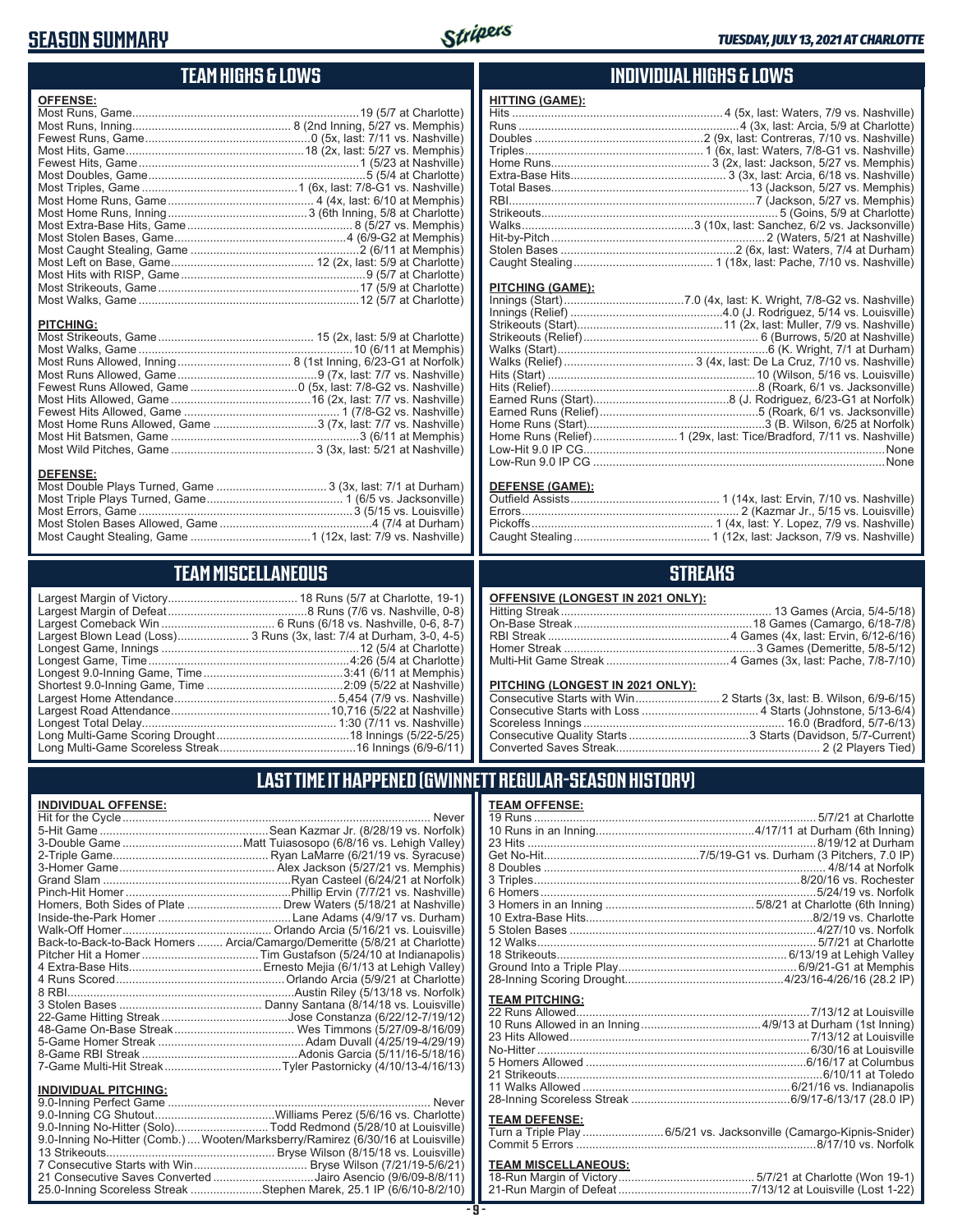### **SEASON SUMMARY**



#### **TEAM HIGHS & LOWS**

| <b>OFFENSE:</b>  |  |
|------------------|--|
|                  |  |
|                  |  |
|                  |  |
|                  |  |
|                  |  |
|                  |  |
|                  |  |
|                  |  |
|                  |  |
|                  |  |
|                  |  |
|                  |  |
|                  |  |
|                  |  |
|                  |  |
|                  |  |
|                  |  |
| <b>PITCHING:</b> |  |
|                  |  |
|                  |  |
|                  |  |
|                  |  |
|                  |  |
|                  |  |
|                  |  |

Most Double Plays Turned, Game .................................. 3 (3x, last: 7/1 at Durham) Most Triple Plays Turned, Game .......................................... 1 (6/5 vs. Jacksonville) Most Errors, Game ..................................................................3 (5/15 vs. Louisville) Most Stolen Bases Allowed, Game ...............................................4 (7/4 at Durham) Most Caught Stealing, Game .....................................1 (12x, last: 7/9 vs. Nashville)

**TEAM MISCELLANEOUS**

#### **INDIVIDUAL HIGHS & LOWS**

| <u>HITTING (GAME):</u> |  |
|------------------------|--|
|                        |  |
|                        |  |
|                        |  |
|                        |  |
|                        |  |
|                        |  |
|                        |  |
|                        |  |
|                        |  |
|                        |  |
|                        |  |
|                        |  |
|                        |  |
|                        |  |
| PITCHING (GAME):       |  |
|                        |  |
|                        |  |
|                        |  |
|                        |  |
|                        |  |
|                        |  |
|                        |  |

| <b>PITCHING:</b> |                                                                                                                                                            |
|------------------|------------------------------------------------------------------------------------------------------------------------------------------------------------|
|                  |                                                                                                                                                            |
|                  |                                                                                                                                                            |
|                  |                                                                                                                                                            |
|                  | Most Runs Allowed, Game………………………………………………………9 (7x, last: 7/7 vs. Nashville) ┃┃ Hits (Start) ………………………………………………………………………………10 (Wilson, 5/16 vs. Louisville) |
|                  | Fewest Runs Allowed. Game……………………………0 (5x. last: 7/8-G2 vs. Nashville) ᅤ Hits (Relief)…………………………………………………………8 (Roark. 6/1 vs. Jacksonville)                |
|                  |                                                                                                                                                            |
|                  |                                                                                                                                                            |
|                  |                                                                                                                                                            |
|                  |                                                                                                                                                            |
|                  |                                                                                                                                                            |
|                  |                                                                                                                                                            |
| <b>DEFENSE:</b>  |                                                                                                                                                            |

#### **DEFENSE (GAME):**

#### **STREAKS**

| OFFENSIVE (LONGEST IN 2021 ONLY): |  |  |  |
|-----------------------------------|--|--|--|
|-----------------------------------|--|--|--|

#### **PITCHING (LONGEST IN 2021 ONLY):**

#### **LAST TIME IT HAPPENED (GWINNETT REGULAR-SEASON HISTORY) TEAM OFFENSE:**

|       | <b>I EAM UFFENSE:</b> |                         |
|-------|-----------------------|-------------------------|
| ver   |                       |                         |
| olk)  |                       |                         |
| lev)  |                       |                         |
| se)   |                       |                         |
| his)  |                       |                         |
| olk)  |                       |                         |
| ille) |                       |                         |
| ille) |                       |                         |
| am)   |                       |                         |
| ille) |                       |                         |
| tte)  |                       |                         |
| (bils |                       |                         |
| ley)  |                       |                         |
| tte)  |                       |                         |
| olk)  | <b>TEAM PITCHING:</b> |                         |
| ille) |                       |                         |
| 12)   |                       |                         |
| 09)   |                       |                         |
| '19)  |                       |                         |
| 16)   |                       |                         |
| 13)   |                       |                         |
|       |                       |                         |
|       | 11 Walks Allowed      | 6/21/16 ys Indianapolis |

| اللاجيب |  |
|---------|--|

#### **TEAM DEFENSE:**

| Turn a Triple Play 6/5/21 vs. Jacksonville (Camargo-Kipnis-Snider) |  |
|--------------------------------------------------------------------|--|
|                                                                    |  |

## **TEAM MISCELLANEOUS:**<br>18-Run Margin of Victory....

| 21-Run Margin of Defeat…………………………………7/13/12 at Louisville (Lost 1-22) |  |  |
|-----------------------------------------------------------------------|--|--|

# Largest Blown Lead (Loss)...................... 3 Runs (3x, last: 7/4 at Durham, 3-0, 4-5) Longest Game, Innings .............................................................12 (5/4 at Charlotte) Longest Game, Time ..............................................................4:26 (5/4 at Charlotte) Largest Home Attendance .................................................. 5,454 (7/9 vs. Nashville)

#### Largest Margin of Victory........................................ 18 Runs (5/7 at Charlotte, 19-1) Largest Margin of Defeat ...........................................8 Runs (7/6 vs. Nashville, 0-8) Largest Comeback Win ................................... 6 Runs (6/18 vs. Nashville, 0-6, 8-7) Longest 9.0-Inning Game, Time ...........................................3:41 (6/11 at Memphis) Shortest 9.0-Inning Game, Time ..........................................2:09 (5/22 at Nashville) Largest Road Attendance .................................................10,716 (5/22 at Nashville) Longest Total Delay............................................................ 1:30 (7/11 vs. Nashville) Long Multi-Game Scoring Drought .........................................18 Innings (5/22-5/25) Long Multi-Game Scoreless Streak ..........................................16 Innings (6/9-6/11)

### **INDIVIDUAL OFFENSE:**

|               | Homers, Both Sides of Plate  Drew Waters (5/18/21 at Nashville)            |
|---------------|----------------------------------------------------------------------------|
|               |                                                                            |
|               |                                                                            |
|               | Back-to-Back-to-Back Homers  Arcia/Camargo/Demeritte (5/8/21 at Charlotte) |
|               |                                                                            |
|               |                                                                            |
|               |                                                                            |
|               |                                                                            |
|               |                                                                            |
|               |                                                                            |
|               |                                                                            |
|               |                                                                            |
|               |                                                                            |
|               |                                                                            |
| INIONIBIBIIAI |                                                                            |

#### **INDIVIDUAL PITCHING:**

| 9.0-Inning No-Hitter (Solo)Todd Redmond (5/28/10 at Louisville)                |
|--------------------------------------------------------------------------------|
| 9.0-Inning No-Hitter (Comb.) Wooten/Marksberry/Ramirez (6/30/16 at Louisville) |
|                                                                                |
|                                                                                |
| 21 Consecutive Saves Converted Jairo Asencio (9/6/09-8/8/11)                   |
| 25.0-Inning Scoreless Streak Stephen Marek, 25.1 IP (6/6/10-8/2/10)            |
|                                                                                |